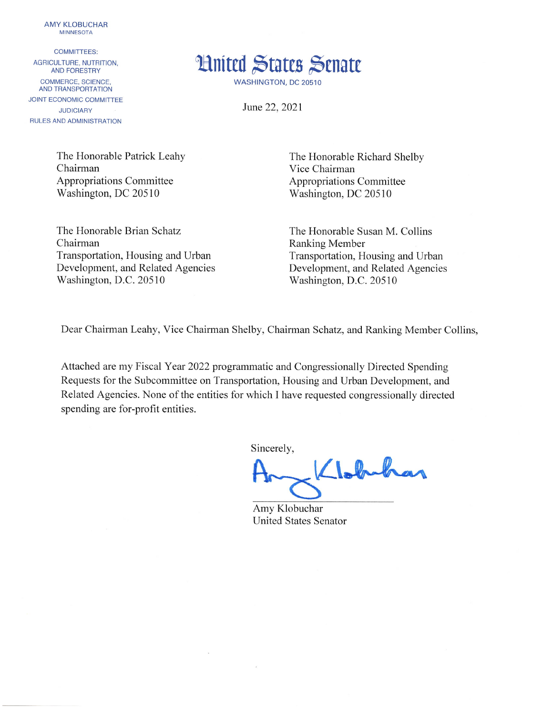**AMY KLOBUCHAR MINNESOTA** 

**COMMITTEES:** AGRICULTURE, NUTRITION. **AND FORESTRY** COMMERCE, SCIENCE. **AND TRANSPORTATION** JOINT ECONOMIC COMMITTEE **JUDICIARY** RULES AND ADMINISTRATION



WASHINGTON, DC 20510

June 22, 2021

The Honorable Patrick Leahy Chairman **Appropriations Committee** Washington, DC 20510

The Honorable Brian Schatz Chairman Transportation, Housing and Urban Development, and Related Agencies Washington, D.C. 20510

The Honorable Richard Shelby Vice Chairman **Appropriations Committee** Washington, DC 20510

The Honorable Susan M. Collins **Ranking Member** Transportation, Housing and Urban Development, and Related Agencies Washington, D.C. 20510

Dear Chairman Leahy, Vice Chairman Shelby, Chairman Schatz, and Ranking Member Collins,

Attached are my Fiscal Year 2022 programmatic and Congressionally Directed Spending Requests for the Subcommittee on Transportation, Housing and Urban Development, and Related Agencies. None of the entities for which I have requested congressionally directed spending are for-profit entities.

 $\tilde{E}$ 

Sincerely,

Wolfenbar

Amy Klobuchar **United States Senator**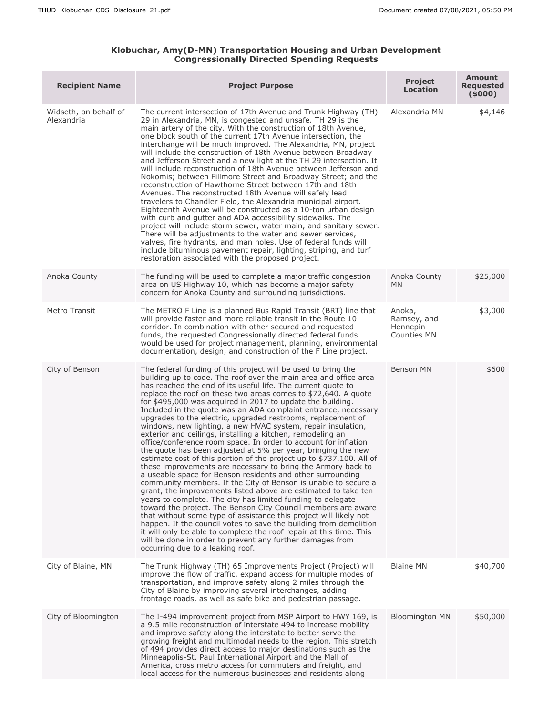## **Klobuchar, Amy(D-MN) Transportation Housing and Urban Development Congressionally Directed Spending Requests**

| <b>Recipient Name</b>               | <b>Project Purpose</b>                                                                                                                                                                                                                                                                                                                                                                                                                                                                                                                                                                                                                                                                                                                                                                                                                                                                                                                                                                                                                                                                                                                                                                                                                                                                                                                                                                                                                                                                                                           | <b>Project</b><br>Location                              | <b>Amount</b><br>Requested<br>(5000) |
|-------------------------------------|----------------------------------------------------------------------------------------------------------------------------------------------------------------------------------------------------------------------------------------------------------------------------------------------------------------------------------------------------------------------------------------------------------------------------------------------------------------------------------------------------------------------------------------------------------------------------------------------------------------------------------------------------------------------------------------------------------------------------------------------------------------------------------------------------------------------------------------------------------------------------------------------------------------------------------------------------------------------------------------------------------------------------------------------------------------------------------------------------------------------------------------------------------------------------------------------------------------------------------------------------------------------------------------------------------------------------------------------------------------------------------------------------------------------------------------------------------------------------------------------------------------------------------|---------------------------------------------------------|--------------------------------------|
| Widseth, on behalf of<br>Alexandria | The current intersection of 17th Avenue and Trunk Highway (TH)<br>29 in Alexandria, MN, is congested and unsafe. TH 29 is the<br>main artery of the city. With the construction of 18th Avenue,<br>one block south of the current 17th Avenue intersection, the<br>interchange will be much improved. The Alexandria, MN, project<br>will include the construction of 18th Avenue between Broadway<br>and Jefferson Street and a new light at the TH 29 intersection. It<br>will include reconstruction of 18th Avenue between Jefferson and<br>Nokomis; between Fillmore Street and Broadway Street; and the<br>reconstruction of Hawthorne Street between 17th and 18th<br>Avenues. The reconstructed 18th Avenue will safely lead<br>travelers to Chandler Field, the Alexandria municipal airport.<br>Eighteenth Avenue will be constructed as a 10-ton urban design<br>with curb and gutter and ADA accessibility sidewalks. The<br>project will include storm sewer, water main, and sanitary sewer.<br>There will be adjustments to the water and sewer services,<br>valves, fire hydrants, and man holes. Use of federal funds will<br>include bituminous pavement repair, lighting, striping, and turf<br>restoration associated with the proposed project.                                                                                                                                                                                                                                                             | Alexandria MN                                           | \$4,146                              |
| Anoka County                        | The funding will be used to complete a major traffic congestion<br>area on US Highway 10, which has become a major safety<br>concern for Anoka County and surrounding jurisdictions.                                                                                                                                                                                                                                                                                                                                                                                                                                                                                                                                                                                                                                                                                                                                                                                                                                                                                                                                                                                                                                                                                                                                                                                                                                                                                                                                             | Anoka County<br><b>MN</b>                               | \$25,000                             |
| Metro Transit                       | The METRO F Line is a planned Bus Rapid Transit (BRT) line that<br>will provide faster and more reliable transit in the Route 10<br>corridor. In combination with other secured and requested<br>funds, the requested Congressionally directed federal funds<br>would be used for project management, planning, environmental<br>documentation, design, and construction of the F Line project.                                                                                                                                                                                                                                                                                                                                                                                                                                                                                                                                                                                                                                                                                                                                                                                                                                                                                                                                                                                                                                                                                                                                  | Anoka,<br>Ramsey, and<br>Hennepin<br><b>Counties MN</b> | \$3,000                              |
| City of Benson                      | The federal funding of this project will be used to bring the<br>building up to code. The roof over the main area and office area<br>has reached the end of its useful life. The current quote to<br>replace the roof on these two areas comes to \$72,640. A quote<br>for \$495,000 was acquired in 2017 to update the building.<br>Included in the quote was an ADA complaint entrance, necessary<br>upgrades to the electric, upgraded restrooms, replacement of<br>windows, new lighting, a new HVAC system, repair insulation,<br>exterior and ceilings, installing a kitchen, remodeling an<br>office/conference room space. In order to account for inflation<br>the quote has been adjusted at 5% per year, bringing the new<br>estimate cost of this portion of the project up to \$737,100. All of<br>these improvements are necessary to bring the Armory back to<br>a useable space for Benson residents and other surrounding<br>community members. If the City of Benson is unable to secure a<br>grant, the improvements listed above are estimated to take ten<br>years to complete. The city has limited funding to delegate<br>toward the project. The Benson City Council members are aware<br>that without some type of assistance this project will likely not<br>happen. If the council votes to save the building from demolition<br>it will only be able to complete the roof repair at this time. This<br>will be done in order to prevent any further damages from<br>occurring due to a leaking roof. | Benson MN                                               | \$600                                |
| City of Blaine, MN                  | The Trunk Highway (TH) 65 Improvements Project (Project) will<br>improve the flow of traffic, expand access for multiple modes of<br>transportation, and improve safety along 2 miles through the<br>City of Blaine by improving several interchanges, adding<br>frontage roads, as well as safe bike and pedestrian passage.                                                                                                                                                                                                                                                                                                                                                                                                                                                                                                                                                                                                                                                                                                                                                                                                                                                                                                                                                                                                                                                                                                                                                                                                    | <b>Blaine MN</b>                                        | \$40,700                             |
| City of Bloomington                 | The I-494 improvement project from MSP Airport to HWY 169, is<br>a 9.5 mile reconstruction of interstate 494 to increase mobility<br>and improve safety along the interstate to better serve the<br>growing freight and multimodal needs to the region. This stretch<br>of 494 provides direct access to major destinations such as the<br>Minneapolis-St. Paul International Airport and the Mall of<br>America, cross metro access for commuters and freight, and<br>local access for the numerous businesses and residents along                                                                                                                                                                                                                                                                                                                                                                                                                                                                                                                                                                                                                                                                                                                                                                                                                                                                                                                                                                                              | <b>Bloomington MN</b>                                   | \$50,000                             |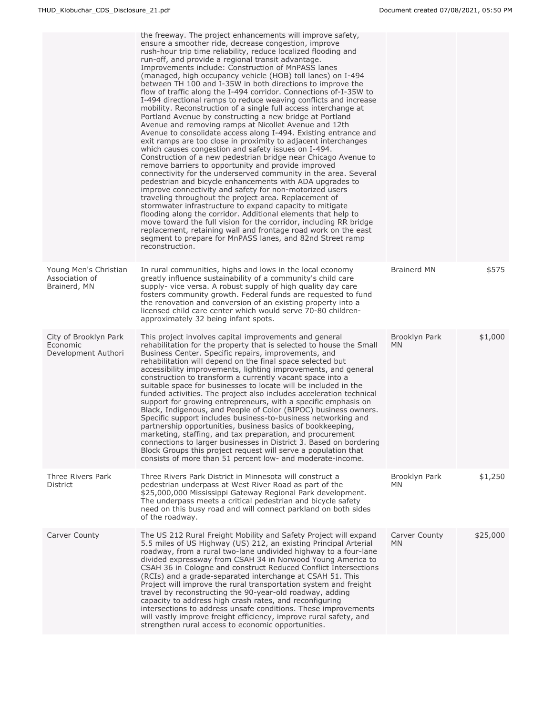|                                                          | the freeway. The project enhancements will improve safety,<br>ensure a smoother ride, decrease congestion, improve<br>rush-hour trip time reliability, reduce localized flooding and<br>run-off, and provide a regional transit advantage.<br>Improvements include: Construction of MnPASS lanes<br>(managed, high occupancy vehicle (HOB) toll lanes) on I-494<br>between TH 100 and I-35W in both directions to improve the<br>flow of traffic along the I-494 corridor. Connections of-I-35W to<br>I-494 directional ramps to reduce weaving conflicts and increase<br>mobility. Reconstruction of a single full access interchange at<br>Portland Avenue by constructing a new bridge at Portland<br>Avenue and removing ramps at Nicollet Avenue and 12th<br>Avenue to consolidate access along I-494. Existing entrance and<br>exit ramps are too close in proximity to adjacent interchanges<br>which causes congestion and safety issues on I-494.<br>Construction of a new pedestrian bridge near Chicago Avenue to<br>remove barriers to opportunity and provide improved<br>connectivity for the underserved community in the area. Several<br>pedestrian and bicycle enhancements with ADA upgrades to<br>improve connectivity and safety for non-motorized users<br>traveling throughout the project area. Replacement of<br>stormwater infrastructure to expand capacity to mitigate<br>flooding along the corridor. Additional elements that help to<br>move toward the full vision for the corridor, including RR bridge<br>replacement, retaining wall and frontage road work on the east<br>segment to prepare for MnPASS lanes, and 82nd Street ramp<br>reconstruction. |                            |          |
|----------------------------------------------------------|--------------------------------------------------------------------------------------------------------------------------------------------------------------------------------------------------------------------------------------------------------------------------------------------------------------------------------------------------------------------------------------------------------------------------------------------------------------------------------------------------------------------------------------------------------------------------------------------------------------------------------------------------------------------------------------------------------------------------------------------------------------------------------------------------------------------------------------------------------------------------------------------------------------------------------------------------------------------------------------------------------------------------------------------------------------------------------------------------------------------------------------------------------------------------------------------------------------------------------------------------------------------------------------------------------------------------------------------------------------------------------------------------------------------------------------------------------------------------------------------------------------------------------------------------------------------------------------------------------------------------------------------------------------------------------------------|----------------------------|----------|
| Young Men's Christian<br>Association of<br>Brainerd, MN  | In rural communities, highs and lows in the local economy<br>greatly influence sustainability of a community's child care<br>supply- vice versa. A robust supply of high quality day care<br>fosters community growth. Federal funds are requested to fund<br>the renovation and conversion of an existing property into a<br>licensed child care center which would serve 70-80 children-<br>approximately 32 being infant spots.                                                                                                                                                                                                                                                                                                                                                                                                                                                                                                                                                                                                                                                                                                                                                                                                                                                                                                                                                                                                                                                                                                                                                                                                                                                         | <b>Brainerd MN</b>         | \$575    |
| City of Brooklyn Park<br>Economic<br>Development Authori | This project involves capital improvements and general<br>rehabilitation for the property that is selected to house the Small<br>Business Center. Specific repairs, improvements, and<br>rehabilitation will depend on the final space selected but<br>accessibility improvements, lighting improvements, and general<br>construction to transform a currently vacant space into a<br>suitable space for businesses to locate will be included in the<br>funded activities. The project also includes acceleration technical<br>support for growing entrepreneurs, with a specific emphasis on<br>Black, Indigenous, and People of Color (BIPOC) business owners.<br>Specific support includes business-to-business networking and<br>partnership opportunities, business basics of bookkeeping,<br>marketing, staffing, and tax preparation, and procurement<br>connections to larger businesses in District 3. Based on bordering<br>Block Groups this project request will serve a population that<br>consists of more than 51 percent low- and moderate-income.                                                                                                                                                                                                                                                                                                                                                                                                                                                                                                                                                                                                                        | Brooklyn Park<br><b>MN</b> | \$1,000  |
| Three Rivers Park<br><b>District</b>                     | Three Rivers Park District in Minnesota will construct a<br>pedestrian underpass at West River Road as part of the<br>\$25,000,000 Mississippi Gateway Regional Park development.<br>The underpass meets a critical pedestrian and bicycle safety<br>need on this busy road and will connect parkland on both sides<br>of the roadway.                                                                                                                                                                                                                                                                                                                                                                                                                                                                                                                                                                                                                                                                                                                                                                                                                                                                                                                                                                                                                                                                                                                                                                                                                                                                                                                                                     | Brooklyn Park<br><b>MN</b> | \$1,250  |
| Carver County                                            | The US 212 Rural Freight Mobility and Safety Project will expand<br>5.5 miles of US Highway (US) 212, an existing Principal Arterial<br>roadway, from a rural two-lane undivided highway to a four-lane<br>divided expressway from CSAH 34 in Norwood Young America to<br>CSAH 36 in Cologne and construct Reduced Conflict Intersections<br>(RCIs) and a grade-separated interchange at CSAH 51. This<br>Project will improve the rural transportation system and freight<br>travel by reconstructing the 90-year-old roadway, adding<br>capacity to address high crash rates, and reconfiguring<br>intersections to address unsafe conditions. These improvements<br>will vastly improve freight efficiency, improve rural safety, and<br>strengthen rural access to economic opportunities.                                                                                                                                                                                                                                                                                                                                                                                                                                                                                                                                                                                                                                                                                                                                                                                                                                                                                             | Carver County<br><b>MN</b> | \$25,000 |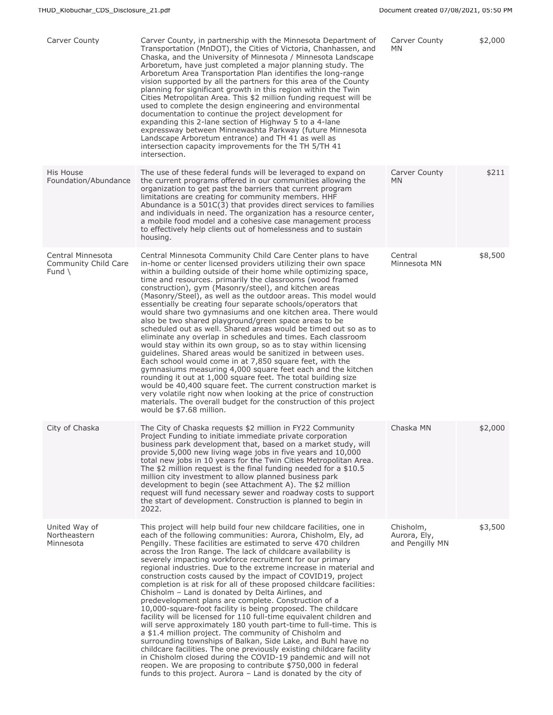| Carver County                                               | Carver County, in partnership with the Minnesota Department of<br>Transportation (MnDOT), the Cities of Victoria, Chanhassen, and<br>Chaska, and the University of Minnesota / Minnesota Landscape<br>Arboretum, have just completed a major planning study. The<br>Arboretum Area Transportation Plan identifies the long-range<br>vision supported by all the partners for this area of the County<br>planning for significant growth in this region within the Twin<br>Cities Metropolitan Area. This \$2 million funding request will be<br>used to complete the design engineering and environmental<br>documentation to continue the project development for<br>expanding this 2-lane section of Highway 5 to a 4-lane<br>expressway between Minnewashta Parkway (future Minnesota<br>Landscape Arboretum entrance) and TH 41 as well as<br>intersection capacity improvements for the TH 5/TH 41<br>intersection.                                                                                                                                                                                                                                                                                                                                                                       | Carver County<br>MN                          | \$2,000 |
|-------------------------------------------------------------|------------------------------------------------------------------------------------------------------------------------------------------------------------------------------------------------------------------------------------------------------------------------------------------------------------------------------------------------------------------------------------------------------------------------------------------------------------------------------------------------------------------------------------------------------------------------------------------------------------------------------------------------------------------------------------------------------------------------------------------------------------------------------------------------------------------------------------------------------------------------------------------------------------------------------------------------------------------------------------------------------------------------------------------------------------------------------------------------------------------------------------------------------------------------------------------------------------------------------------------------------------------------------------------------|----------------------------------------------|---------|
| His House<br>Foundation/Abundance                           | The use of these federal funds will be leveraged to expand on<br>the current programs offered in our communities allowing the<br>organization to get past the barriers that current program<br>limitations are creating for community members. HHF<br>Abundance is a $501C(3)$ that provides direct services to families<br>and individuals in need. The organization has a resource center,<br>a mobile food model and a cohesive case management process<br>to effectively help clients out of homelessness and to sustain<br>housing.                                                                                                                                                                                                                                                                                                                                                                                                                                                                                                                                                                                                                                                                                                                                                       | Carver County<br>MN.                         | \$211   |
| Central Minnesota<br>Community Child Care<br>Fund $\langle$ | Central Minnesota Community Child Care Center plans to have<br>in-home or center licensed providers utilizing their own space<br>within a building outside of their home while optimizing space,<br>time and resources. primarily the classrooms (wood framed<br>construction), gym (Masonry/steel), and kitchen areas<br>(Masonry/Steel), as well as the outdoor areas. This model would<br>essentially be creating four separate schools/operators that<br>would share two gymnasiums and one kitchen area. There would<br>also be two shared playground/green space areas to be<br>scheduled out as well. Shared areas would be timed out so as to<br>eliminate any overlap in schedules and times. Each classroom<br>would stay within its own group, so as to stay within licensing<br>guidelines. Shared areas would be sanitized in between uses.<br>Each school would come in at 7,850 square feet, with the<br>gymnasiums measuring 4,000 square feet each and the kitchen<br>rounding it out at 1,000 square feet. The total building size<br>would be 40,400 square feet. The current construction market is<br>very volatile right now when looking at the price of construction<br>materials. The overall budget for the construction of this project<br>would be \$7.68 million. | Central<br>Minnesota MN                      | \$8,500 |
| City of Chaska                                              | The City of Chaska requests \$2 million in FY22 Community<br>Project Funding to initiate immediate private corporation<br>business park development that, based on a market study, will<br>provide 5,000 new living wage jobs in five years and 10,000<br>total new jobs in 10 years for the Twin Cities Metropolitan Area.<br>The \$2 million request is the final funding needed for a $$10.5$<br>million city investment to allow planned business park<br>development to begin (see Attachment A). The \$2 million<br>request will fund necessary sewer and roadway costs to support<br>the start of development. Construction is planned to begin in<br>2022.                                                                                                                                                                                                                                                                                                                                                                                                                                                                                                                                                                                                                             | Chaska MN                                    | \$2,000 |
| United Way of<br>Northeastern<br>Minnesota                  | This project will help build four new childcare facilities, one in<br>each of the following communities: Aurora, Chisholm, Ely, ad<br>Pengilly. These facilities are estimated to serve 470 children<br>across the Iron Range. The lack of childcare availability is<br>severely impacting workforce recruitment for our primary<br>regional industries. Due to the extreme increase in material and<br>construction costs caused by the impact of COVID19, project<br>completion is at risk for all of these proposed childcare facilities:<br>Chisholm - Land is donated by Delta Airlines, and<br>predevelopment plans are complete. Construction of a<br>10,000-square-foot facility is being proposed. The childcare<br>facility will be licensed for 110 full-time equivalent children and<br>will serve approximately 180 youth part-time to full-time. This is<br>a \$1.4 million project. The community of Chisholm and<br>surrounding townships of Balkan, Side Lake, and Buhl have no<br>childcare facilities. The one previously existing childcare facility<br>in Chisholm closed during the COVID-19 pandemic and will not<br>reopen. We are proposing to contribute \$750,000 in federal<br>funds to this project. Aurora - Land is donated by the city of                      | Chisholm,<br>Aurora, Ely,<br>and Pengilly MN | \$3,500 |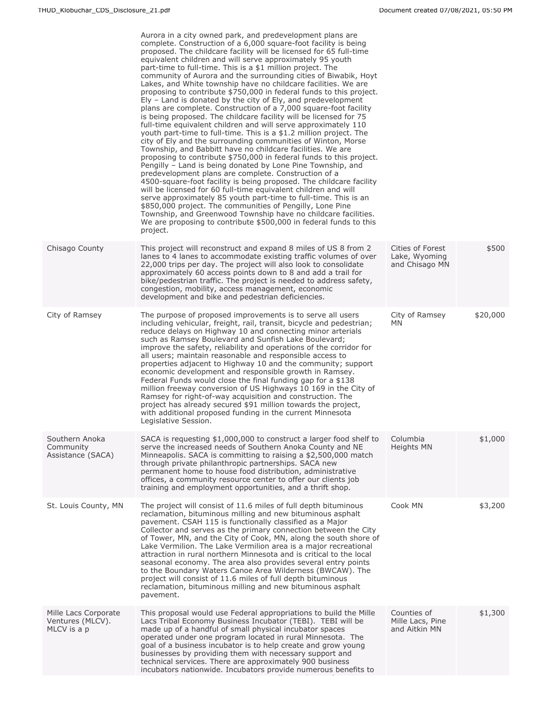|                                                         | Aurora in a city owned park, and predevelopment plans are<br>complete. Construction of a 6,000 square-foot facility is being<br>proposed. The childcare facility will be licensed for 65 full-time<br>equivalent children and will serve approximately 95 youth<br>part-time to full-time. This is a \$1 million project. The<br>community of Aurora and the surrounding cities of Biwabik, Hoyt<br>Lakes, and White township have no childcare facilities. We are<br>proposing to contribute \$750,000 in federal funds to this project.<br>$E$ – Land is donated by the city of $E$ and predevelopment<br>plans are complete. Construction of a 7,000 square-foot facility<br>is being proposed. The childcare facility will be licensed for 75<br>full-time equivalent children and will serve approximately 110<br>youth part-time to full-time. This is a \$1.2 million project. The<br>city of Ely and the surrounding communities of Winton, Morse<br>Township, and Babbitt have no childcare facilities. We are<br>proposing to contribute \$750,000 in federal funds to this project.<br>Pengilly – Land is being donated by Lone Pine Township, and<br>predevelopment plans are complete. Construction of a<br>4500-square-foot facility is being proposed. The childcare facility<br>will be licensed for 60 full-time equivalent children and will<br>serve approximately 85 youth part-time to full-time. This is an<br>\$850,000 project. The communities of Pengilly, Lone Pine<br>Township, and Greenwood Township have no childcare facilities.<br>We are proposing to contribute \$500,000 in federal funds to this<br>project. |                                                     |          |
|---------------------------------------------------------|---------------------------------------------------------------------------------------------------------------------------------------------------------------------------------------------------------------------------------------------------------------------------------------------------------------------------------------------------------------------------------------------------------------------------------------------------------------------------------------------------------------------------------------------------------------------------------------------------------------------------------------------------------------------------------------------------------------------------------------------------------------------------------------------------------------------------------------------------------------------------------------------------------------------------------------------------------------------------------------------------------------------------------------------------------------------------------------------------------------------------------------------------------------------------------------------------------------------------------------------------------------------------------------------------------------------------------------------------------------------------------------------------------------------------------------------------------------------------------------------------------------------------------------------------------------------------------------------------------------------------------------------------|-----------------------------------------------------|----------|
| Chisago County                                          | This project will reconstruct and expand 8 miles of US 8 from 2<br>lanes to 4 lanes to accommodate existing traffic volumes of over<br>22,000 trips per day. The project will also look to consolidate<br>approximately 60 access points down to 8 and add a trail for<br>bike/pedestrian traffic. The project is needed to address safety,<br>congestion, mobility, access management, economic<br>development and bike and pedestrian deficiencies.                                                                                                                                                                                                                                                                                                                                                                                                                                                                                                                                                                                                                                                                                                                                                                                                                                                                                                                                                                                                                                                                                                                                                                                             | Cities of Forest<br>Lake, Wyoming<br>and Chisago MN | \$500    |
| City of Ramsey                                          | The purpose of proposed improvements is to serve all users<br>including vehicular, freight, rail, transit, bicycle and pedestrian;<br>reduce delays on Highway 10 and connecting minor arterials<br>such as Ramsey Boulevard and Sunfish Lake Boulevard;<br>improve the safety, reliability and operations of the corridor for<br>all users; maintain reasonable and responsible access to<br>properties adjacent to Highway 10 and the community; support<br>economic development and responsible growth in Ramsey.<br>Federal Funds would close the final funding gap for a \$138<br>million freeway conversion of US Highways 10 169 in the City of<br>Ramsey for right-of-way acquisition and construction. The<br>project has already secured \$91 million towards the project,<br>with additional proposed funding in the current Minnesota<br>Legislative Session.                                                                                                                                                                                                                                                                                                                                                                                                                                                                                                                                                                                                                                                                                                                                                                         | City of Ramsey<br><b>MN</b>                         | \$20,000 |
| Southern Anoka<br>Community<br>Assistance (SACA)        | SACA is requesting \$1,000,000 to construct a larger food shelf to<br>serve the increased needs of Southern Anoka County and NE<br>Minneapolis. SACA is committing to raising a \$2,500,000 match<br>through private philanthropic partnerships. SACA new<br>permanent home to house food distribution, administrative<br>offices, a community resource center to offer our clients job<br>training and employment opportunities, and a thrift shop.                                                                                                                                                                                                                                                                                                                                                                                                                                                                                                                                                                                                                                                                                                                                                                                                                                                                                                                                                                                                                                                                                                                                                                                              | Columbia<br>Heights MN                              | \$1,000  |
| St. Louis County, MN                                    | The project will consist of 11.6 miles of full depth bituminous<br>reclamation, bituminous milling and new bituminous asphalt<br>pavement. CSAH 115 is functionally classified as a Major<br>Collector and serves as the primary connection between the City<br>of Tower, MN, and the City of Cook, MN, along the south shore of<br>Lake Vermilion. The Lake Vermilion area is a major recreational<br>attraction in rural northern Minnesota and is critical to the local<br>seasonal economy. The area also provides several entry points<br>to the Boundary Waters Canoe Area Wilderness (BWCAW). The<br>project will consist of 11.6 miles of full depth bituminous<br>reclamation, bituminous milling and new bituminous asphalt<br>pavement.                                                                                                                                                                                                                                                                                                                                                                                                                                                                                                                                                                                                                                                                                                                                                                                                                                                                                                | Cook MN                                             | \$3,200  |
| Mille Lacs Corporate<br>Ventures (MLCV).<br>MLCV is a p | This proposal would use Federal appropriations to build the Mille<br>Lacs Tribal Economy Business Incubator (TEBI). TEBI will be<br>made up of a handful of small physical incubator spaces<br>operated under one program located in rural Minnesota. The<br>goal of a business incubator is to help create and grow young<br>businesses by providing them with necessary support and<br>technical services. There are approximately 900 business<br>incubators nationwide. Incubators provide numerous benefits to                                                                                                                                                                                                                                                                                                                                                                                                                                                                                                                                                                                                                                                                                                                                                                                                                                                                                                                                                                                                                                                                                                                               | Counties of<br>Mille Lacs, Pine<br>and Aitkin MN    | \$1,300  |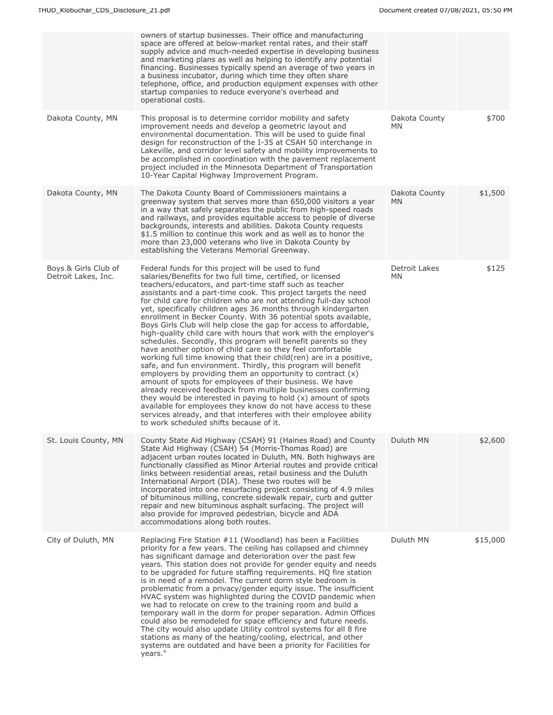|                                             | owners of startup businesses. Their office and manufacturing<br>space are offered at below-market rental rates, and their staff<br>supply advice and much-needed expertise in developing business<br>and marketing plans as well as helping to identify any potential<br>financing. Businesses typically spend an average of two years in<br>a business incubator, during which time they often share<br>telephone, office, and production equipment expenses with other<br>startup companies to reduce everyone's overhead and<br>operational costs.                                                                                                                                                                                                                                                                                                                                                                                                                                                                                                                                                                                                                                                                                                                                                                       |                            |          |
|---------------------------------------------|-----------------------------------------------------------------------------------------------------------------------------------------------------------------------------------------------------------------------------------------------------------------------------------------------------------------------------------------------------------------------------------------------------------------------------------------------------------------------------------------------------------------------------------------------------------------------------------------------------------------------------------------------------------------------------------------------------------------------------------------------------------------------------------------------------------------------------------------------------------------------------------------------------------------------------------------------------------------------------------------------------------------------------------------------------------------------------------------------------------------------------------------------------------------------------------------------------------------------------------------------------------------------------------------------------------------------------|----------------------------|----------|
| Dakota County, MN                           | This proposal is to determine corridor mobility and safety<br>improvement needs and develop a geometric layout and<br>environmental documentation. This will be used to quide final<br>design for reconstruction of the I-35 at CSAH 50 interchange in<br>Lakeville, and corridor level safety and mobility improvements to<br>be accomplished in coordination with the pavement replacement<br>project included in the Minnesota Department of Transportation<br>10-Year Capital Highway Improvement Program.                                                                                                                                                                                                                                                                                                                                                                                                                                                                                                                                                                                                                                                                                                                                                                                                              | Dakota County<br>MN        | \$700    |
| Dakota County, MN                           | The Dakota County Board of Commissioners maintains a<br>greenway system that serves more than 650,000 visitors a year<br>in a way that safely separates the public from high-speed roads<br>and railways, and provides equitable access to people of diverse<br>backgrounds, interests and abilities. Dakota County requests<br>\$1.5 million to continue this work and as well as to honor the<br>more than 23,000 veterans who live in Dakota County by<br>establishing the Veterans Memorial Greenway.                                                                                                                                                                                                                                                                                                                                                                                                                                                                                                                                                                                                                                                                                                                                                                                                                   | Dakota County<br><b>MN</b> | \$1,500  |
| Boys & Girls Club of<br>Detroit Lakes, Inc. | Federal funds for this project will be used to fund<br>salaries/Benefits for two full time, certified, or licensed<br>teachers/educators, and part-time staff such as teacher<br>assistants and a part-time cook. This project targets the need<br>for child care for children who are not attending full-day school<br>yet, specifically children ages 36 months through kindergarten<br>enrollment in Becker County. With 36 potential spots available,<br>Boys Girls Club will help close the gap for access to affordable,<br>high-quality child care with hours that work with the employer's<br>schedules. Secondly, this program will benefit parents so they<br>have another option of child care so they feel comfortable<br>working full time knowing that their child(ren) are in a positive,<br>safe, and fun environment. Thirdly, this program will benefit<br>employers by providing them an opportunity to contract $(x)$<br>amount of spots for employees of their business. We have<br>already received feedback from multiple businesses confirming<br>they would be interested in paying to hold $(x)$ amount of spots<br>available for employees they know do not have access to these<br>services already, and that interferes with their employee ability<br>to work scheduled shifts because of it. | Detroit Lakes<br><b>MN</b> | \$125    |
| St. Louis County, MN                        | County State Aid Highway (CSAH) 91 (Haines Road) and County<br>State Aid Highway (CSAH) 54 (Morris-Thomas Road) are<br>adjacent urban routes located in Duluth, MN. Both highways are<br>functionally classified as Minor Arterial routes and provide critical<br>links between residential areas, retail business and the Duluth<br>International Airport (DIA). These two routes will be<br>incorporated into one resurfacing project consisting of 4.9 miles<br>of bituminous milling, concrete sidewalk repair, curb and gutter<br>repair and new bituminous asphalt surfacing. The project will<br>also provide for improved pedestrian, bicycle and ADA<br>accommodations along both routes.                                                                                                                                                                                                                                                                                                                                                                                                                                                                                                                                                                                                                          | Duluth MN                  | \$2,600  |
| City of Duluth, MN                          | Replacing Fire Station #11 (Woodland) has been a Facilities<br>priority for a few years. The ceiling has collapsed and chimney<br>has significant damage and deterioration over the past few<br>years. This station does not provide for gender equity and needs<br>to be upgraded for future staffing requirements. HQ fire station<br>is in need of a remodel. The current dorm style bedroom is<br>problematic from a privacy/gender equity issue. The insufficient<br>HVAC system was highlighted during the COVID pandemic when<br>we had to relocate on crew to the training room and build a<br>temporary wall in the dorm for proper separation. Admin Offices<br>could also be remodeled for space efficiency and future needs.<br>The city would also update Utility control systems for all 8 fire<br>stations as many of the heating/cooling, electrical, and other<br>systems are outdated and have been a priority for Facilities for<br>years."                                                                                                                                                                                                                                                                                                                                                              | Duluth MN                  | \$15,000 |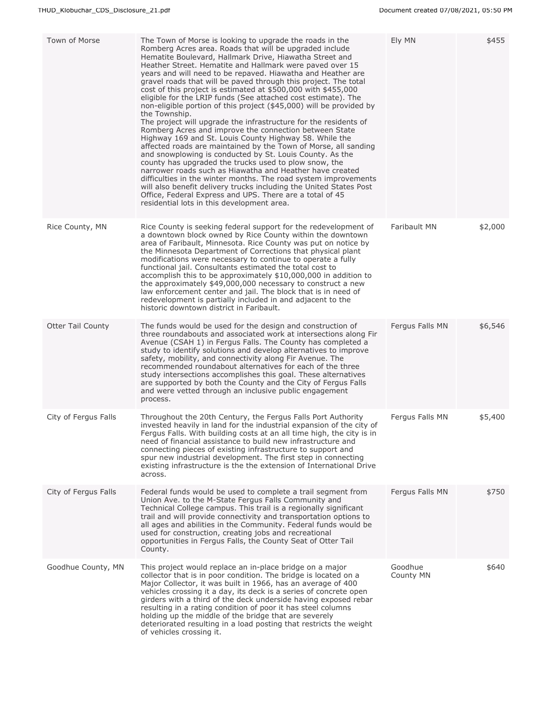| Town of Morse            | The Town of Morse is looking to upgrade the roads in the<br>Romberg Acres area. Roads that will be upgraded include<br>Hematite Boulevard, Hallmark Drive, Hiawatha Street and<br>Heather Street. Hematite and Hallmark were paved over 15<br>years and will need to be repaved. Hiawatha and Heather are<br>gravel roads that will be paved through this project. The total<br>cost of this project is estimated at \$500,000 with \$455,000<br>eligible for the LRIP funds (See attached cost estimate). The<br>non-eligible portion of this project (\$45,000) will be provided by<br>the Township.<br>The project will upgrade the infrastructure for the residents of<br>Romberg Acres and improve the connection between State<br>Highway 169 and St. Louis County Highway 58. While the<br>affected roads are maintained by the Town of Morse, all sanding<br>and snowplowing is conducted by St. Louis County. As the<br>county has upgraded the trucks used to plow snow, the<br>narrower roads such as Hiawatha and Heather have created<br>difficulties in the winter months. The road system improvements<br>will also benefit delivery trucks including the United States Post<br>Office, Federal Express and UPS. There are a total of 45<br>residential lots in this development area. | Ely MN               | \$455   |
|--------------------------|-------------------------------------------------------------------------------------------------------------------------------------------------------------------------------------------------------------------------------------------------------------------------------------------------------------------------------------------------------------------------------------------------------------------------------------------------------------------------------------------------------------------------------------------------------------------------------------------------------------------------------------------------------------------------------------------------------------------------------------------------------------------------------------------------------------------------------------------------------------------------------------------------------------------------------------------------------------------------------------------------------------------------------------------------------------------------------------------------------------------------------------------------------------------------------------------------------------------------------------------------------------------------------------------------------|----------------------|---------|
| Rice County, MN          | Rice County is seeking federal support for the redevelopment of<br>a downtown block owned by Rice County within the downtown<br>area of Faribault, Minnesota. Rice County was put on notice by<br>the Minnesota Department of Corrections that physical plant<br>modifications were necessary to continue to operate a fully<br>functional jail. Consultants estimated the total cost to<br>accomplish this to be approximately \$10,000,000 in addition to<br>the approximately \$49,000,000 necessary to construct a new<br>law enforcement center and jail. The block that is in need of<br>redevelopment is partially included in and adjacent to the<br>historic downtown district in Faribault.                                                                                                                                                                                                                                                                                                                                                                                                                                                                                                                                                                                                 | Faribault MN         | \$2,000 |
| <b>Otter Tail County</b> | The funds would be used for the design and construction of<br>three roundabouts and associated work at intersections along Fir<br>Avenue (CSAH 1) in Fergus Falls. The County has completed a<br>study to identify solutions and develop alternatives to improve<br>safety, mobility, and connectivity along Fir Avenue. The<br>recommended roundabout alternatives for each of the three<br>study intersections accomplishes this goal. These alternatives<br>are supported by both the County and the City of Fergus Falls<br>and were vetted through an inclusive public engagement<br>process.                                                                                                                                                                                                                                                                                                                                                                                                                                                                                                                                                                                                                                                                                                    | Fergus Falls MN      | \$6,546 |
| City of Fergus Falls     | Throughout the 20th Century, the Fergus Falls Port Authority<br>invested heavily in land for the industrial expansion of the city of<br>Fergus Falls. With building costs at an all time high, the city is in<br>need of financial assistance to build new infrastructure and<br>connecting pieces of existing infrastructure to support and<br>spur new industrial development. The first step in connecting<br>existing infrastructure is the the extension of International Drive<br>across.                                                                                                                                                                                                                                                                                                                                                                                                                                                                                                                                                                                                                                                                                                                                                                                                       | Fergus Falls MN      | \$5,400 |
| City of Fergus Falls     | Federal funds would be used to complete a trail segment from<br>Union Ave. to the M-State Fergus Falls Community and<br>Technical College campus. This trail is a regionally significant<br>trail and will provide connectivity and transportation options to<br>all ages and abilities in the Community. Federal funds would be<br>used for construction, creating jobs and recreational<br>opportunities in Fergus Falls, the County Seat of Otter Tail<br>County.                                                                                                                                                                                                                                                                                                                                                                                                                                                                                                                                                                                                                                                                                                                                                                                                                                  | Fergus Falls MN      | \$750   |
| Goodhue County, MN       | This project would replace an in-place bridge on a major<br>collector that is in poor condition. The bridge is located on a<br>Major Collector, it was built in 1966, has an average of 400<br>vehicles crossing it a day, its deck is a series of concrete open<br>girders with a third of the deck underside having exposed rebar<br>resulting in a rating condition of poor it has steel columns<br>holding up the middle of the bridge that are severely<br>deteriorated resulting in a load posting that restricts the weight<br>of vehicles crossing it.                                                                                                                                                                                                                                                                                                                                                                                                                                                                                                                                                                                                                                                                                                                                        | Goodhue<br>County MN | \$640   |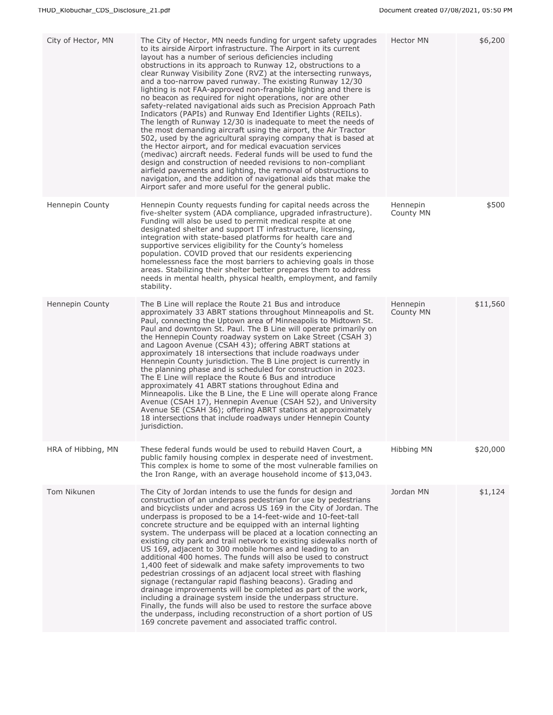| City of Hector, MN | The City of Hector, MN needs funding for urgent safety upgrades<br>to its airside Airport infrastructure. The Airport in its current<br>layout has a number of serious deficiencies including<br>obstructions in its approach to Runway 12, obstructions to a<br>clear Runway Visibility Zone (RVZ) at the intersecting runways,<br>and a too-narrow paved runway. The existing Runway 12/30<br>lighting is not FAA-approved non-frangible lighting and there is<br>no beacon as required for night operations, nor are other<br>safety-related navigational aids such as Precision Approach Path<br>Indicators (PAPIs) and Runway End Identifier Lights (REILs).<br>The length of Runway 12/30 is inadequate to meet the needs of<br>the most demanding aircraft using the airport, the Air Tractor<br>502, used by the agricultural spraying company that is based at<br>the Hector airport, and for medical evacuation services<br>(medivac) aircraft needs. Federal funds will be used to fund the<br>design and construction of needed revisions to non-compliant<br>airfield pavements and lighting, the removal of obstructions to<br>navigation, and the addition of navigational aids that make the<br>Airport safer and more useful for the general public. | Hector MN             | \$6,200  |
|--------------------|-----------------------------------------------------------------------------------------------------------------------------------------------------------------------------------------------------------------------------------------------------------------------------------------------------------------------------------------------------------------------------------------------------------------------------------------------------------------------------------------------------------------------------------------------------------------------------------------------------------------------------------------------------------------------------------------------------------------------------------------------------------------------------------------------------------------------------------------------------------------------------------------------------------------------------------------------------------------------------------------------------------------------------------------------------------------------------------------------------------------------------------------------------------------------------------------------------------------------------------------------------------------------|-----------------------|----------|
| Hennepin County    | Hennepin County requests funding for capital needs across the<br>five-shelter system (ADA compliance, upgraded infrastructure).<br>Funding will also be used to permit medical respite at one<br>designated shelter and support IT infrastructure, licensing,<br>integration with state-based platforms for health care and<br>supportive services eligibility for the County's homeless<br>population. COVID proved that our residents experiencing<br>homelessness face the most barriers to achieving goals in those<br>areas. Stabilizing their shelter better prepares them to address<br>needs in mental health, physical health, employment, and family<br>stability.                                                                                                                                                                                                                                                                                                                                                                                                                                                                                                                                                                                          | Hennepin<br>County MN | \$500    |
| Hennepin County    | The B Line will replace the Route 21 Bus and introduce<br>approximately 33 ABRT stations throughout Minneapolis and St.<br>Paul, connecting the Uptown area of Minneapolis to Midtown St.<br>Paul and downtown St. Paul. The B Line will operate primarily on<br>the Hennepin County roadway system on Lake Street (CSAH 3)<br>and Lagoon Avenue (CSAH 43); offering ABRT stations at<br>approximately 18 intersections that include roadways under<br>Hennepin County jurisdiction. The B Line project is currently in<br>the planning phase and is scheduled for construction in 2023.<br>The E Line will replace the Route 6 Bus and introduce<br>approximately 41 ABRT stations throughout Edina and<br>Minneapolis. Like the B Line, the E Line will operate along France<br>Avenue (CSAH 17), Hennepin Avenue (CSAH 52), and University<br>Avenue SE (CSAH 36); offering ABRT stations at approximately<br>18 intersections that include roadways under Hennepin County<br>jurisdiction.                                                                                                                                                                                                                                                                        | Hennepin<br>County MN | \$11,560 |
| HRA of Hibbing, MN | These federal funds would be used to rebuild Haven Court, a<br>public family housing complex in desperate need of investment.<br>This complex is home to some of the most vulnerable families on<br>the Iron Range, with an average household income of $$13,043$ .                                                                                                                                                                                                                                                                                                                                                                                                                                                                                                                                                                                                                                                                                                                                                                                                                                                                                                                                                                                                   | Hibbing MN            | \$20,000 |
| Tom Nikunen        | The City of Jordan intends to use the funds for design and<br>construction of an underpass pedestrian for use by pedestrians<br>and bicyclists under and across US 169 in the City of Jordan. The<br>underpass is proposed to be a 14-feet-wide and 10-feet-tall<br>concrete structure and be equipped with an internal lighting<br>system. The underpass will be placed at a location connecting an<br>existing city park and trail network to existing sidewalks north of<br>US 169, adjacent to 300 mobile homes and leading to an<br>additional 400 homes. The funds will also be used to construct<br>1,400 feet of sidewalk and make safety improvements to two<br>pedestrian crossings of an adjacent local street with flashing<br>signage (rectangular rapid flashing beacons). Grading and<br>drainage improvements will be completed as part of the work,<br>including a drainage system inside the underpass structure.<br>Finally, the funds will also be used to restore the surface above<br>the underpass, including reconstruction of a short portion of US<br>169 concrete pavement and associated traffic control.                                                                                                                                 | Jordan MN             | \$1,124  |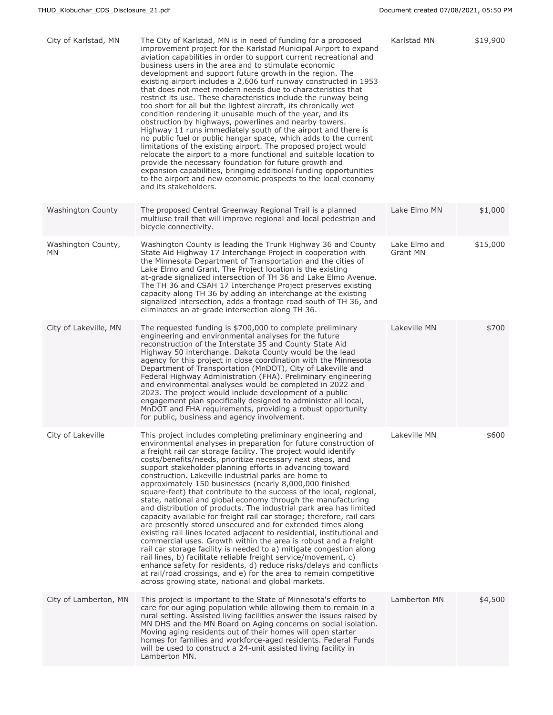| City of Karlstad, MN      | The City of Karlstad, MN is in need of funding for a proposed<br>improvement project for the Karlstad Municipal Airport to expand<br>aviation capabilities in order to support current recreational and<br>business users in the area and to stimulate economic<br>development and support future growth in the region. The<br>existing airport includes a 2,606 turf runway constructed in 1953<br>that does not meet modern needs due to characteristics that<br>restrict its use. These characteristics include the runway being<br>too short for all but the lightest aircraft, its chronically wet<br>condition rendering it unusable much of the year, and its<br>obstruction by highways, powerlines and nearby towers.<br>Highway 11 runs immediately south of the airport and there is<br>no public fuel or public hangar space, which adds to the current<br>limitations of the existing airport. The proposed project would<br>relocate the airport to a more functional and suitable location to<br>provide the necessary foundation for future growth and<br>expansion capabilities, bringing additional funding opportunities<br>to the airport and new economic prospects to the local economy<br>and its stakeholders.                                                        | Karlstad MN               | \$19,900 |
|---------------------------|-----------------------------------------------------------------------------------------------------------------------------------------------------------------------------------------------------------------------------------------------------------------------------------------------------------------------------------------------------------------------------------------------------------------------------------------------------------------------------------------------------------------------------------------------------------------------------------------------------------------------------------------------------------------------------------------------------------------------------------------------------------------------------------------------------------------------------------------------------------------------------------------------------------------------------------------------------------------------------------------------------------------------------------------------------------------------------------------------------------------------------------------------------------------------------------------------------------------------------------------------------------------------------------------------|---------------------------|----------|
| <b>Washington County</b>  | The proposed Central Greenway Regional Trail is a planned<br>multiuse trail that will improve regional and local pedestrian and<br>bicycle connectivity.                                                                                                                                                                                                                                                                                                                                                                                                                                                                                                                                                                                                                                                                                                                                                                                                                                                                                                                                                                                                                                                                                                                                      | Lake Elmo MN              | \$1,000  |
| Washington County,<br>MN. | Washington County is leading the Trunk Highway 36 and County<br>State Aid Highway 17 Interchange Project in cooperation with<br>the Minnesota Department of Transportation and the cities of<br>Lake Elmo and Grant. The Project location is the existing<br>at-grade signalized intersection of TH 36 and Lake Elmo Avenue.<br>The TH 36 and CSAH 17 Interchange Project preserves existing<br>capacity along TH 36 by adding an interchange at the existing<br>signalized intersection, adds a frontage road south of TH 36, and<br>eliminates an at-grade intersection along TH 36.                                                                                                                                                                                                                                                                                                                                                                                                                                                                                                                                                                                                                                                                                                        | Lake Elmo and<br>Grant MN | \$15,000 |
| City of Lakeville, MN     | The requested funding is \$700,000 to complete preliminary<br>engineering and environmental analyses for the future<br>reconstruction of the Interstate 35 and County State Aid<br>Highway 50 interchange. Dakota County would be the lead<br>agency for this project in close coordination with the Minnesota<br>Department of Transportation (MnDOT), City of Lakeville and<br>Federal Highway Administration (FHA). Preliminary engineering<br>and environmental analyses would be completed in 2022 and<br>2023. The project would include development of a public<br>engagement plan specifically designed to administer all local,<br>MnDOT and FHA requirements, providing a robust opportunity<br>for public, business and agency involvement.                                                                                                                                                                                                                                                                                                                                                                                                                                                                                                                                        | Lakeville MN              | \$700    |
| City of Lakeville         | This project includes completing preliminary engineering and<br>environmental analyses in preparation for future construction of<br>a freight rail car storage facility. The project would identify<br>costs/benefits/needs, prioritize necessary next steps, and<br>support stakeholder planning efforts in advancing toward<br>construction. Lakeville industrial parks are home to<br>approximately 150 businesses (nearly 8,000,000 finished<br>square-feet) that contribute to the success of the local, regional,<br>state, national and global economy through the manufacturing<br>and distribution of products. The industrial park area has limited<br>capacity available for freight rail car storage; therefore, rail cars<br>are presently stored unsecured and for extended times along<br>existing rail lines located adjacent to residential, institutional and<br>commercial uses. Growth within the area is robust and a freight<br>rail car storage facility is needed to a) mitigate congestion along<br>rail lines, b) facilitate reliable freight service/movement, c)<br>enhance safety for residents, d) reduce risks/delays and conflicts<br>at rail/road crossings, and e) for the area to remain competitive<br>across growing state, national and global markets. | Lakeville MN              | \$600    |
| City of Lamberton, MN     | This project is important to the State of Minnesota's efforts to<br>care for our aging population while allowing them to remain in a<br>rural setting. Assisted living facilities answer the issues raised by<br>MN DHS and the MN Board on Aging concerns on social isolation.<br>Moving aging residents out of their homes will open starter<br>homes for families and workforce-aged residents. Federal Funds<br>will be used to construct a 24-unit assisted living facility in<br>Lamberton MN.                                                                                                                                                                                                                                                                                                                                                                                                                                                                                                                                                                                                                                                                                                                                                                                          | Lamberton MN              | \$4,500  |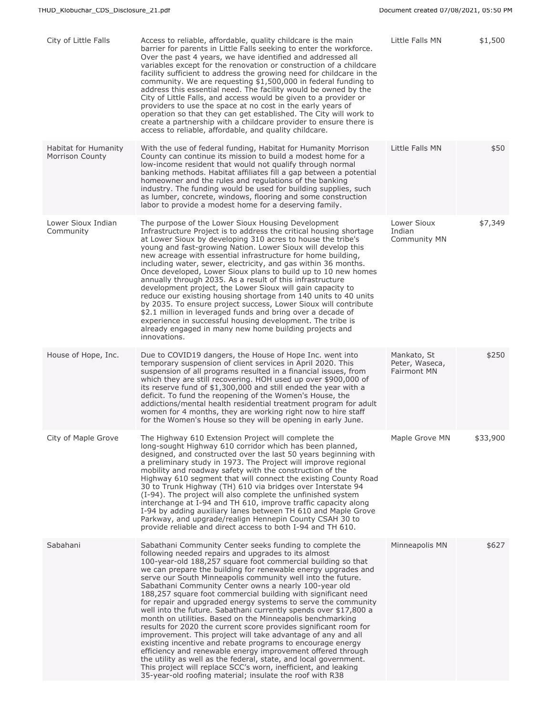| City of Little Falls                           | Access to reliable, affordable, quality childcare is the main<br>barrier for parents in Little Falls seeking to enter the workforce.<br>Over the past 4 years, we have identified and addressed all<br>variables except for the renovation or construction of a childcare<br>facility sufficient to address the growing need for childcare in the<br>community. We are requesting \$1,500,000 in federal funding to<br>address this essential need. The facility would be owned by the<br>City of Little Falls, and access would be given to a provider or<br>providers to use the space at no cost in the early years of<br>operation so that they can get established. The City will work to<br>create a partnership with a childcare provider to ensure there is<br>access to reliable, affordable, and quality childcare.                                                                                                                                                                                                                                                                                  | Little Falls MN                                     | \$1,500  |
|------------------------------------------------|----------------------------------------------------------------------------------------------------------------------------------------------------------------------------------------------------------------------------------------------------------------------------------------------------------------------------------------------------------------------------------------------------------------------------------------------------------------------------------------------------------------------------------------------------------------------------------------------------------------------------------------------------------------------------------------------------------------------------------------------------------------------------------------------------------------------------------------------------------------------------------------------------------------------------------------------------------------------------------------------------------------------------------------------------------------------------------------------------------------|-----------------------------------------------------|----------|
| Habitat for Humanity<br><b>Morrison County</b> | With the use of federal funding, Habitat for Humanity Morrison<br>County can continue its mission to build a modest home for a<br>low-income resident that would not qualify through normal<br>banking methods. Habitat affiliates fill a gap between a potential<br>homeowner and the rules and regulations of the banking<br>industry. The funding would be used for building supplies, such<br>as lumber, concrete, windows, flooring and some construction<br>labor to provide a modest home for a deserving family.                                                                                                                                                                                                                                                                                                                                                                                                                                                                                                                                                                                       | Little Falls MN                                     | \$50     |
| Lower Sioux Indian<br>Community                | The purpose of the Lower Sioux Housing Development<br>Infrastructure Project is to address the critical housing shortage<br>at Lower Sioux by developing 310 acres to house the tribe's<br>young and fast-growing Nation. Lower Sioux will develop this<br>new acreage with essential infrastructure for home building,<br>including water, sewer, electricity, and gas within 36 months.<br>Once developed, Lower Sioux plans to build up to 10 new homes<br>annually through 2035. As a result of this infrastructure<br>development project, the Lower Sioux will gain capacity to<br>reduce our existing housing shortage from 140 units to 40 units<br>by 2035. To ensure project success, Lower Sioux will contribute<br>\$2.1 million in leveraged funds and bring over a decade of<br>experience in successful housing development. The tribe is<br>already engaged in many new home building projects and<br>innovations.                                                                                                                                                                             | Lower Sioux<br>Indian<br><b>Community MN</b>        | \$7,349  |
| House of Hope, Inc.                            | Due to COVID19 dangers, the House of Hope Inc. went into<br>temporary suspension of client services in April 2020. This<br>suspension of all programs resulted in a financial issues, from<br>which they are still recovering. HOH used up over \$900,000 of<br>its reserve fund of \$1,300,000 and still ended the year with a<br>deficit. To fund the reopening of the Women's House, the<br>addictions/mental health residential treatment program for adult<br>women for 4 months, they are working right now to hire staff<br>for the Women's House so they will be opening in early June.                                                                                                                                                                                                                                                                                                                                                                                                                                                                                                                | Mankato, St<br>Peter, Waseca,<br><b>Fairmont MN</b> | \$250    |
| City of Maple Grove                            | The Highway 610 Extension Project will complete the<br>long-sought Highway 610 corridor which has been planned,<br>designed, and constructed over the last 50 years beginning with<br>a preliminary study in 1973. The Project will improve regional<br>mobility and roadway safety with the construction of the<br>Highway 610 segment that will connect the existing County Road<br>30 to Trunk Highway (TH) 610 via bridges over Interstate 94<br>(I-94). The project will also complete the unfinished system<br>interchange at I-94 and TH 610, improve traffic capacity along<br>I-94 by adding auxiliary lanes between TH 610 and Maple Grove<br>Parkway, and upgrade/realign Hennepin County CSAH 30 to<br>provide reliable and direct access to both I-94 and TH 610.                                                                                                                                                                                                                                                                                                                                 | Maple Grove MN                                      | \$33,900 |
| Sabahani                                       | Sabathani Community Center seeks funding to complete the<br>following needed repairs and upgrades to its almost<br>100-year-old 188,257 square foot commercial building so that<br>we can prepare the building for renewable energy upgrades and<br>serve our South Minneapolis community well into the future.<br>Sabathani Community Center owns a nearly 100-year old<br>188,257 square foot commercial building with significant need<br>for repair and upgraded energy systems to serve the community<br>well into the future. Sabathani currently spends over \$17,800 a<br>month on utilities. Based on the Minneapolis benchmarking<br>results for 2020 the current score provides significant room for<br>improvement. This project will take advantage of any and all<br>existing incentive and rebate programs to encourage energy<br>efficiency and renewable energy improvement offered through<br>the utility as well as the federal, state, and local government.<br>This project will replace SCC's worn, inefficient, and leaking<br>35-year-old roofing material; insulate the roof with R38 | Minneapolis MN                                      | \$627    |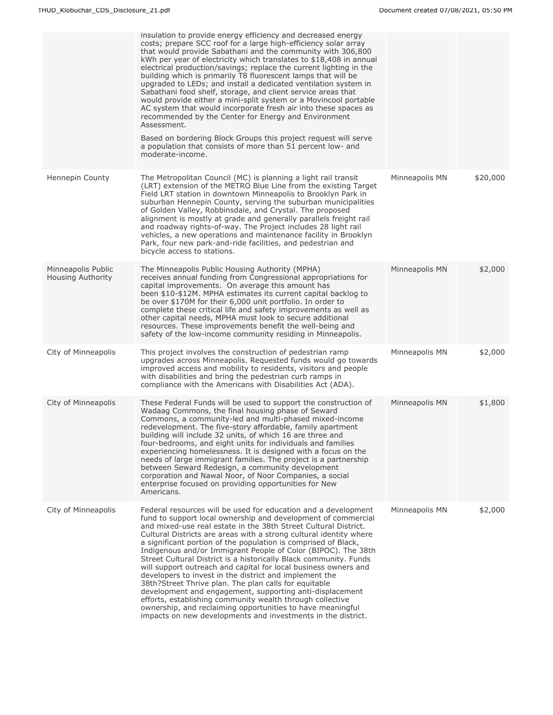|                                         | insulation to provide energy efficiency and decreased energy<br>costs; prepare SCC roof for a large high-efficiency solar array<br>that would provide Sabathani and the community with 306,800<br>kWh per year of electricity which translates to \$18,408 in annual<br>electrical production/savings; replace the current lighting in the<br>building which is primarily T8 fluorescent lamps that will be<br>upgraded to LEDs; and install a dedicated ventilation system in<br>Sabathani food shelf, storage, and client service areas that<br>would provide either a mini-split system or a Movincool portable<br>AC system that would incorporate fresh air into these spaces as<br>recommended by the Center for Energy and Environment<br>Assessment.<br>Based on bordering Block Groups this project request will serve<br>a population that consists of more than 51 percent low- and<br>moderate-income.            |                |          |
|-----------------------------------------|-------------------------------------------------------------------------------------------------------------------------------------------------------------------------------------------------------------------------------------------------------------------------------------------------------------------------------------------------------------------------------------------------------------------------------------------------------------------------------------------------------------------------------------------------------------------------------------------------------------------------------------------------------------------------------------------------------------------------------------------------------------------------------------------------------------------------------------------------------------------------------------------------------------------------------|----------------|----------|
| Hennepin County                         | The Metropolitan Council (MC) is planning a light rail transit<br>(LRT) extension of the METRO Blue Line from the existing Target<br>Field LRT station in downtown Minneapolis to Brooklyn Park in<br>suburban Hennepin County, serving the suburban municipalities<br>of Golden Valley, Robbinsdale, and Crystal. The proposed<br>alignment is mostly at grade and generally parallels freight rail<br>and roadway rights-of-way. The Project includes 28 light rail<br>vehicles, a new operations and maintenance facility in Brooklyn<br>Park, four new park-and-ride facilities, and pedestrian and<br>bicycle access to stations.                                                                                                                                                                                                                                                                                        | Minneapolis MN | \$20,000 |
| Minneapolis Public<br>Housing Authority | The Minneapolis Public Housing Authority (MPHA)<br>receives annual funding from Congressional appropriations for<br>capital improvements. On average this amount has<br>been \$10-\$12M. MPHA estimates its current capital backlog to<br>be over \$170M for their 6,000 unit portfolio. In order to<br>complete these critical life and safety improvements as well as<br>other capital needs, MPHA must look to secure additional<br>resources. These improvements benefit the well-being and<br>safety of the low-income community residing in Minneapolis.                                                                                                                                                                                                                                                                                                                                                                | Minneapolis MN | \$2,000  |
| City of Minneapolis                     | This project involves the construction of pedestrian ramp<br>upgrades across Minneapolis. Requested funds would go towards<br>improved access and mobility to residents, visitors and people<br>with disabilities and bring the pedestrian curb ramps in<br>compliance with the Americans with Disabilities Act (ADA).                                                                                                                                                                                                                                                                                                                                                                                                                                                                                                                                                                                                        | Minneapolis MN | \$2,000  |
| City of Minneapolis                     | These Federal Funds will be used to support the construction of<br>Wadaag Commons, the final housing phase of Seward<br>Commons, a community-led and multi-phased mixed-income<br>redevelopment. The five-story affordable, family apartment<br>building will include 32 units, of which 16 are three and<br>four-bedrooms, and eight units for individuals and families<br>experiencing homelessness. It is designed with a focus on the<br>needs of large immigrant families. The project is a partnership<br>between Seward Redesign, a community development<br>corporation and Nawal Noor, of Noor Companies, a social<br>enterprise focused on providing opportunities for New<br>Americans.                                                                                                                                                                                                                            | Minneapolis MN | \$1,800  |
| City of Minneapolis                     | Federal resources will be used for education and a development<br>fund to support local ownership and development of commercial<br>and mixed-use real estate in the 38th Street Cultural District.<br>Cultural Districts are areas with a strong cultural identity where<br>a significant portion of the population is comprised of Black,<br>Indigenous and/or Immigrant People of Color (BIPOC). The 38th<br>Street Cultural District is a historically Black community. Funds<br>will support outreach and capital for local business owners and<br>developers to invest in the district and implement the<br>38th?Street Thrive plan. The plan calls for equitable<br>development and engagement, supporting anti-displacement<br>efforts, establishing community wealth through collective<br>ownership, and reclaiming opportunities to have meaningful<br>impacts on new developments and investments in the district. | Minneapolis MN | \$2,000  |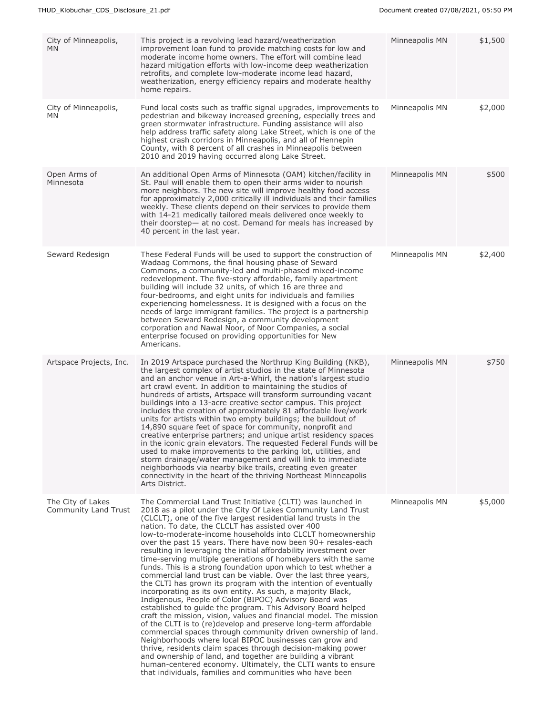| City of Minneapolis,<br><b>MN</b>         | This project is a revolving lead hazard/weatherization<br>improvement loan fund to provide matching costs for low and<br>moderate income home owners. The effort will combine lead<br>hazard mitigation efforts with low-income deep weatherization<br>retrofits, and complete low-moderate income lead hazard,<br>weatherization, energy efficiency repairs and moderate healthy<br>home repairs.                                                                                                                                                                                                                                                                                                                                                                                                                                                                                                                                                                                                                                                                                                                                                                                                                                                                                                                                                                                                                                                      | Minneapolis MN | \$1,500 |
|-------------------------------------------|---------------------------------------------------------------------------------------------------------------------------------------------------------------------------------------------------------------------------------------------------------------------------------------------------------------------------------------------------------------------------------------------------------------------------------------------------------------------------------------------------------------------------------------------------------------------------------------------------------------------------------------------------------------------------------------------------------------------------------------------------------------------------------------------------------------------------------------------------------------------------------------------------------------------------------------------------------------------------------------------------------------------------------------------------------------------------------------------------------------------------------------------------------------------------------------------------------------------------------------------------------------------------------------------------------------------------------------------------------------------------------------------------------------------------------------------------------|----------------|---------|
| City of Minneapolis,<br>MN                | Fund local costs such as traffic signal upgrades, improvements to<br>pedestrian and bikeway increased greening, especially trees and<br>green stormwater infrastructure. Funding assistance will also<br>help address traffic safety along Lake Street, which is one of the<br>highest crash corridors in Minneapolis, and all of Hennepin<br>County, with 8 percent of all crashes in Minneapolis between<br>2010 and 2019 having occurred along Lake Street.                                                                                                                                                                                                                                                                                                                                                                                                                                                                                                                                                                                                                                                                                                                                                                                                                                                                                                                                                                                          | Minneapolis MN | \$2,000 |
| Open Arms of<br>Minnesota                 | An additional Open Arms of Minnesota (OAM) kitchen/facility in<br>St. Paul will enable them to open their arms wider to nourish<br>more neighbors. The new site will improve healthy food access<br>for approximately 2,000 critically ill individuals and their families<br>weekly. These clients depend on their services to provide them<br>with 14-21 medically tailored meals delivered once weekly to<br>their doorstep— at no cost. Demand for meals has increased by<br>40 percent in the last year.                                                                                                                                                                                                                                                                                                                                                                                                                                                                                                                                                                                                                                                                                                                                                                                                                                                                                                                                            | Minneapolis MN | \$500   |
| Seward Redesign                           | These Federal Funds will be used to support the construction of<br>Wadaag Commons, the final housing phase of Seward<br>Commons, a community-led and multi-phased mixed-income<br>redevelopment. The five-story affordable, family apartment<br>building will include 32 units, of which 16 are three and<br>four-bedrooms, and eight units for individuals and families<br>experiencing homelessness. It is designed with a focus on the<br>needs of large immigrant families. The project is a partnership<br>between Seward Redesign, a community development<br>corporation and Nawal Noor, of Noor Companies, a social<br>enterprise focused on providing opportunities for New<br>Americans.                                                                                                                                                                                                                                                                                                                                                                                                                                                                                                                                                                                                                                                                                                                                                      | Minneapolis MN | \$2,400 |
| Artspace Projects, Inc.                   | In 2019 Artspace purchased the Northrup King Building (NKB),<br>the largest complex of artist studios in the state of Minnesota<br>and an anchor venue in Art-a-Whirl, the nation's largest studio<br>art crawl event. In addition to maintaining the studios of<br>hundreds of artists, Artspace will transform surrounding vacant<br>buildings into a 13-acre creative sector campus. This project<br>includes the creation of approximately 81 affordable live/work<br>units for artists within two empty buildings; the buildout of<br>14,890 square feet of space for community, nonprofit and<br>creative enterprise partners; and unique artist residency spaces<br>in the iconic grain elevators. The requested Federal Funds will be<br>used to make improvements to the parking lot, utilities, and<br>storm drainage/water management and will link to immediate<br>neighborhoods via nearby bike trails, creating even greater<br>connectivity in the heart of the thriving Northeast Minneapolis<br>Arts District.                                                                                                                                                                                                                                                                                                                                                                                                                         | Minneapolis MN | \$750   |
| The City of Lakes<br>Community Land Trust | The Commercial Land Trust Initiative (CLTI) was launched in<br>2018 as a pilot under the City Of Lakes Community Land Trust<br>(CLCLT), one of the five largest residential land trusts in the<br>nation. To date, the CLCLT has assisted over 400<br>low-to-moderate-income households into CLCLT homeownership<br>over the past 15 years. There have now been 90+ resales-each<br>resulting in leveraging the initial affordability investment over<br>time-serving multiple generations of homebuyers with the same<br>funds. This is a strong foundation upon which to test whether a<br>commercial land trust can be viable. Over the last three years,<br>the CLTI has grown its program with the intention of eventually<br>incorporating as its own entity. As such, a majority Black,<br>Indigenous, People of Color (BIPOC) Advisory Board was<br>established to guide the program. This Advisory Board helped<br>craft the mission, vision, values and financial model. The mission<br>of the CLTI is to (re)develop and preserve long-term affordable<br>commercial spaces through community driven ownership of land.<br>Neighborhoods where local BIPOC businesses can grow and<br>thrive, residents claim spaces through decision-making power<br>and ownership of land, and together are building a vibrant<br>human-centered economy. Ultimately, the CLTI wants to ensure<br>that individuals, families and communities who have been | Minneapolis MN | \$5,000 |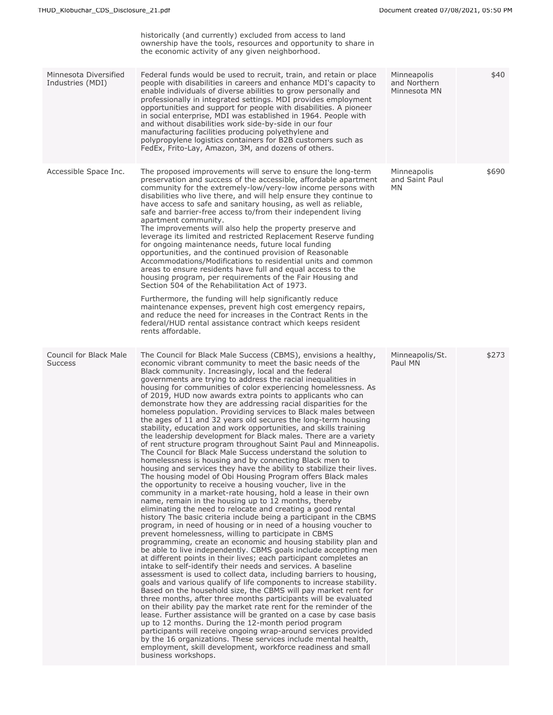|                                           | historically (and currently) excluded from access to land<br>ownership have the tools, resources and opportunity to share in<br>the economic activity of any given neighborhood.                                                                                                                                                                                                                                                                                                                                                                                                                                                                                                                                                                                                                                                                                                                                                                                                                                                                                                                                                                                                                                                                                                                                                                                                                                                                                                                                                                                                                                                                                                                                                                                                                                                                                                                                                                                                                                                                                                                                                                                                                                                                                                                                                                                                                                                                                                                                     |                                             |       |
|-------------------------------------------|----------------------------------------------------------------------------------------------------------------------------------------------------------------------------------------------------------------------------------------------------------------------------------------------------------------------------------------------------------------------------------------------------------------------------------------------------------------------------------------------------------------------------------------------------------------------------------------------------------------------------------------------------------------------------------------------------------------------------------------------------------------------------------------------------------------------------------------------------------------------------------------------------------------------------------------------------------------------------------------------------------------------------------------------------------------------------------------------------------------------------------------------------------------------------------------------------------------------------------------------------------------------------------------------------------------------------------------------------------------------------------------------------------------------------------------------------------------------------------------------------------------------------------------------------------------------------------------------------------------------------------------------------------------------------------------------------------------------------------------------------------------------------------------------------------------------------------------------------------------------------------------------------------------------------------------------------------------------------------------------------------------------------------------------------------------------------------------------------------------------------------------------------------------------------------------------------------------------------------------------------------------------------------------------------------------------------------------------------------------------------------------------------------------------------------------------------------------------------------------------------------------------|---------------------------------------------|-------|
| Minnesota Diversified<br>Industries (MDI) | Federal funds would be used to recruit, train, and retain or place<br>people with disabilities in careers and enhance MDI's capacity to<br>enable individuals of diverse abilities to grow personally and<br>professionally in integrated settings. MDI provides employment<br>opportunities and support for people with disabilities. A pioneer<br>in social enterprise, MDI was established in 1964. People with<br>and without disabilities work side-by-side in our four<br>manufacturing facilities producing polyethylene and<br>polypropylene logistics containers for B2B customers such as<br>FedEx, Frito-Lay, Amazon, 3M, and dozens of others.                                                                                                                                                                                                                                                                                                                                                                                                                                                                                                                                                                                                                                                                                                                                                                                                                                                                                                                                                                                                                                                                                                                                                                                                                                                                                                                                                                                                                                                                                                                                                                                                                                                                                                                                                                                                                                                           | Minneapolis<br>and Northern<br>Minnesota MN | \$40  |
| Accessible Space Inc.                     | The proposed improvements will serve to ensure the long-term<br>preservation and success of the accessible, affordable apartment<br>community for the extremely-low/very-low income persons with<br>disabilities who live there, and will help ensure they continue to<br>have access to safe and sanitary housing, as well as reliable,<br>safe and barrier-free access to/from their independent living<br>apartment community.<br>The improvements will also help the property preserve and<br>leverage its limited and restricted Replacement Reserve funding<br>for ongoing maintenance needs, future local funding<br>opportunities, and the continued provision of Reasonable<br>Accommodations/Modifications to residential units and common<br>areas to ensure residents have full and equal access to the<br>housing program, per requirements of the Fair Housing and<br>Section 504 of the Rehabilitation Act of 1973.<br>Furthermore, the funding will help significantly reduce<br>maintenance expenses, prevent high cost emergency repairs,<br>and reduce the need for increases in the Contract Rents in the<br>federal/HUD rental assistance contract which keeps resident<br>rents affordable.                                                                                                                                                                                                                                                                                                                                                                                                                                                                                                                                                                                                                                                                                                                                                                                                                                                                                                                                                                                                                                                                                                                                                                                                                                                                                                    | Minneapolis<br>and Saint Paul<br>MN         | \$690 |
| Council for Black Male<br><b>Success</b>  | The Council for Black Male Success (CBMS), envisions a healthy,<br>economic vibrant community to meet the basic needs of the<br>Black community. Increasingly, local and the federal<br>governments are trying to address the racial inequalities in<br>housing for communities of color experiencing homelessness. As<br>of 2019, HUD now awards extra points to applicants who can<br>demonstrate how they are addressing racial disparities for the<br>homeless population. Providing services to Black males between<br>the ages of 11 and 32 years old secures the long-term housing<br>stability, education and work opportunities, and skills training<br>the leadership development for Black males. There are a variety<br>of rent structure program throughout Saint Paul and Minneapolis.<br>The Council for Black Male Success understand the solution to<br>homelessness is housing and by connecting Black men to<br>housing and services they have the ability to stabilize their lives.<br>The housing model of Obi Housing Program offers Black males<br>the opportunity to receive a housing voucher, live in the<br>community in a market-rate housing, hold a lease in their own<br>name, remain in the housing up to 12 months, thereby<br>eliminating the need to relocate and creating a good rental<br>history The basic criteria include being a participant in the CBMS<br>program, in need of housing or in need of a housing voucher to<br>prevent homelessness, willing to participate in CBMS<br>programming, create an economic and housing stability plan and<br>be able to live independently. CBMS goals include accepting men<br>at different points in their lives; each participant completes an<br>intake to self-identify their needs and services. A baseline<br>assessment is used to collect data, including barriers to housing,<br>goals and various qualify of life components to increase stability.<br>Based on the household size, the CBMS will pay market rent for<br>three months, after three months participants will be evaluated<br>on their ability pay the market rate rent for the reminder of the<br>lease. Further assistance will be granted on a case by case basis<br>up to 12 months. During the 12-month period program<br>participants will receive ongoing wrap-around services provided<br>by the 16 organizations. These services include mental health,<br>employment, skill development, workforce readiness and small<br>business workshops. | Minneapolis/St.<br>Paul MN                  | \$273 |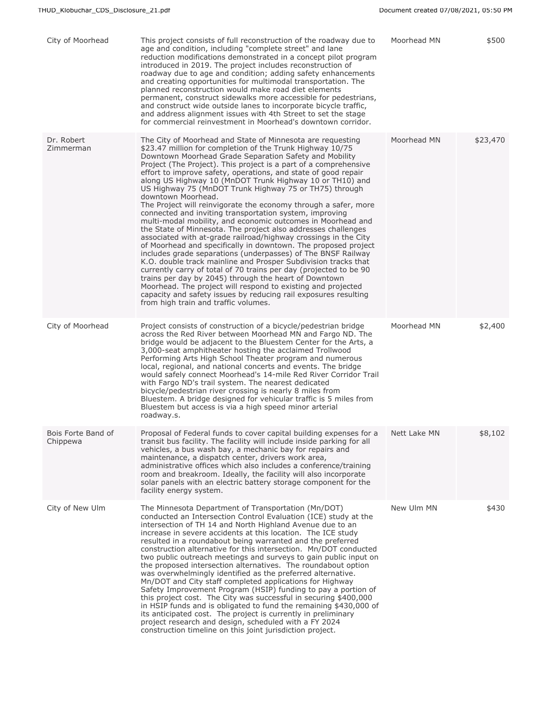| City of Moorhead               | This project consists of full reconstruction of the roadway due to<br>age and condition, including "complete street" and lane<br>reduction modifications demonstrated in a concept pilot program<br>introduced in 2019. The project includes reconstruction of<br>roadway due to age and condition; adding safety enhancements<br>and creating opportunities for multimodal transportation. The<br>planned reconstruction would make road diet elements<br>permanent, construct sidewalks more accessible for pedestrians,<br>and construct wide outside lanes to incorporate bicycle traffic,<br>and address alignment issues with 4th Street to set the stage<br>for commercial reinvestment in Moorhead's downtown corridor.                                                                                                                                                                                                                                                                                                                                                                                                                                                                                                                                                                                   | Moorhead MN  | \$500    |
|--------------------------------|-------------------------------------------------------------------------------------------------------------------------------------------------------------------------------------------------------------------------------------------------------------------------------------------------------------------------------------------------------------------------------------------------------------------------------------------------------------------------------------------------------------------------------------------------------------------------------------------------------------------------------------------------------------------------------------------------------------------------------------------------------------------------------------------------------------------------------------------------------------------------------------------------------------------------------------------------------------------------------------------------------------------------------------------------------------------------------------------------------------------------------------------------------------------------------------------------------------------------------------------------------------------------------------------------------------------|--------------|----------|
| Dr. Robert<br>Zimmerman        | The City of Moorhead and State of Minnesota are requesting<br>\$23.47 million for completion of the Trunk Highway 10/75<br>Downtown Moorhead Grade Separation Safety and Mobility<br>Project (The Project). This project is a part of a comprehensive<br>effort to improve safety, operations, and state of good repair<br>along US Highway 10 (MnDOT Trunk Highway 10 or TH10) and<br>US Highway 75 (MnDOT Trunk Highway 75 or TH75) through<br>downtown Moorhead.<br>The Project will reinvigorate the economy through a safer, more<br>connected and inviting transportation system, improving<br>multi-modal mobility, and economic outcomes in Moorhead and<br>the State of Minnesota. The project also addresses challenges<br>associated with at-grade railroad/highway crossings in the City<br>of Moorhead and specifically in downtown. The proposed project<br>includes grade separations (underpasses) of The BNSF Railway<br>K.O. double track mainline and Prosper Subdivision tracks that<br>currently carry of total of 70 trains per day (projected to be 90<br>trains per day by 2045) through the heart of Downtown<br>Moorhead. The project will respond to existing and projected<br>capacity and safety issues by reducing rail exposures resulting<br>from high train and traffic volumes. | Moorhead MN  | \$23,470 |
| City of Moorhead               | Project consists of construction of a bicycle/pedestrian bridge<br>across the Red River between Moorhead MN and Fargo ND. The<br>bridge would be adjacent to the Bluestem Center for the Arts, a<br>3,000-seat amphitheater hosting the acclaimed Trollwood<br>Performing Arts High School Theater program and numerous<br>local, regional, and national concerts and events. The bridge<br>would safely connect Moorhead's 14-mile Red River Corridor Trail<br>with Fargo ND's trail system. The nearest dedicated<br>bicycle/pedestrian river crossing is nearly 8 miles from<br>Bluestem. A bridge designed for vehicular traffic is 5 miles from<br>Bluestem but access is via a high speed minor arterial<br>roadway.s.                                                                                                                                                                                                                                                                                                                                                                                                                                                                                                                                                                                      | Moorhead MN  | \$2,400  |
| Bois Forte Band of<br>Chippewa | Proposal of Federal funds to cover capital building expenses for a<br>transit bus facility. The facility will include inside parking for all<br>vehicles, a bus wash bay, a mechanic bay for repairs and<br>maintenance, a dispatch center, drivers work area,<br>administrative offices which also includes a conference/training<br>room and breakroom. Ideally, the facility will also incorporate<br>solar panels with an electric battery storage component for the<br>facility energy system.                                                                                                                                                                                                                                                                                                                                                                                                                                                                                                                                                                                                                                                                                                                                                                                                               | Nett Lake MN | \$8,102  |
| City of New Ulm                | The Minnesota Department of Transportation (Mn/DOT)<br>conducted an Intersection Control Evaluation (ICE) study at the<br>intersection of TH 14 and North Highland Avenue due to an<br>increase in severe accidents at this location. The ICE study<br>resulted in a roundabout being warranted and the preferred<br>construction alternative for this intersection. Mn/DOT conducted<br>two public outreach meetings and surveys to gain public input on<br>the proposed intersection alternatives. The roundabout option<br>was overwhelmingly identified as the preferred alternative.<br>Mn/DOT and City staff completed applications for Highway<br>Safety Improvement Program (HSIP) funding to pay a portion of<br>this project cost. The City was successful in securing \$400,000<br>in HSIP funds and is obligated to fund the remaining \$430,000 of<br>its anticipated cost. The project is currently in preliminary<br>project research and design, scheduled with a FY 2024<br>construction timeline on this joint jurisdiction project.                                                                                                                                                                                                                                                            | New Ulm MN   | \$430    |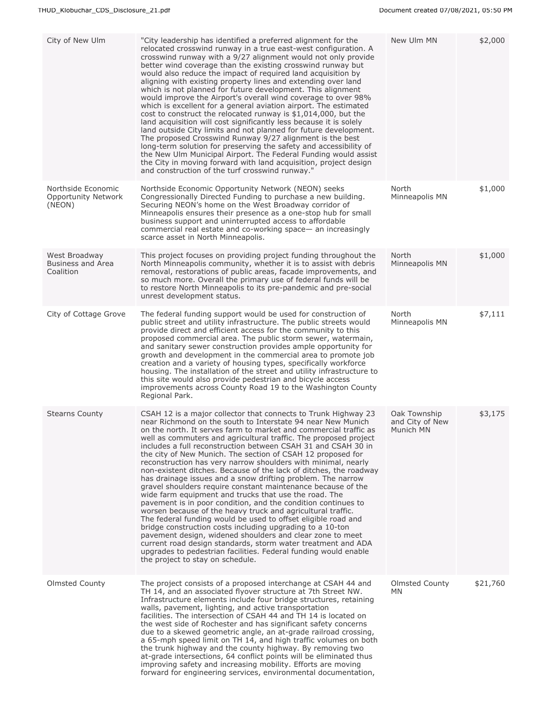| City of New Ulm                                            | "City leadership has identified a preferred alignment for the<br>relocated crosswind runway in a true east-west configuration. A<br>crosswind runway with a 9/27 alignment would not only provide<br>better wind coverage than the existing crosswind runway but<br>would also reduce the impact of required land acquisition by<br>aligning with existing property lines and extending over land<br>which is not planned for future development. This alignment<br>would improve the Airport's overall wind coverage to over 98%<br>which is excellent for a general aviation airport. The estimated<br>cost to construct the relocated runway is \$1,014,000, but the<br>land acquisition will cost significantly less because it is solely<br>land outside City limits and not planned for future development.<br>The proposed Crosswind Runway 9/27 alignment is the best<br>long-term solution for preserving the safety and accessibility of<br>the New Ulm Municipal Airport. The Federal Funding would assist<br>the City in moving forward with land acquisition, project design<br>and construction of the turf crosswind runway."                                                                                          | New Ulm MN                                   | \$2,000  |
|------------------------------------------------------------|---------------------------------------------------------------------------------------------------------------------------------------------------------------------------------------------------------------------------------------------------------------------------------------------------------------------------------------------------------------------------------------------------------------------------------------------------------------------------------------------------------------------------------------------------------------------------------------------------------------------------------------------------------------------------------------------------------------------------------------------------------------------------------------------------------------------------------------------------------------------------------------------------------------------------------------------------------------------------------------------------------------------------------------------------------------------------------------------------------------------------------------------------------------------------------------------------------------------------------------|----------------------------------------------|----------|
| Northside Economic<br><b>Opportunity Network</b><br>(NEON) | Northside Economic Opportunity Network (NEON) seeks<br>Congressionally Directed Funding to purchase a new building.<br>Securing NEON's home on the West Broadway corridor of<br>Minneapolis ensures their presence as a one-stop hub for small<br>business support and uninterrupted access to affordable<br>commercial real estate and co-working space— an increasingly<br>scarce asset in North Minneapolis.                                                                                                                                                                                                                                                                                                                                                                                                                                                                                                                                                                                                                                                                                                                                                                                                                       | North<br>Minneapolis MN                      | \$1,000  |
| West Broadway<br>Business and Area<br>Coalition            | This project focuses on providing project funding throughout the<br>North Minneapolis community, whether it is to assist with debris<br>removal, restorations of public areas, facade improvements, and<br>so much more. Overall the primary use of federal funds will be<br>to restore North Minneapolis to its pre-pandemic and pre-social<br>unrest development status.                                                                                                                                                                                                                                                                                                                                                                                                                                                                                                                                                                                                                                                                                                                                                                                                                                                            | North<br>Minneapolis MN                      | \$1,000  |
| City of Cottage Grove                                      | The federal funding support would be used for construction of<br>public street and utility infrastructure. The public streets would<br>provide direct and efficient access for the community to this<br>proposed commercial area. The public storm sewer, watermain,<br>and sanitary sewer construction provides ample opportunity for<br>growth and development in the commercial area to promote job<br>creation and a variety of housing types, specifically workforce<br>housing. The installation of the street and utility infrastructure to<br>this site would also provide pedestrian and bicycle access<br>improvements across County Road 19 to the Washington County<br>Regional Park.                                                                                                                                                                                                                                                                                                                                                                                                                                                                                                                                     | North<br>Minneapolis MN                      | \$7,111  |
| <b>Stearns County</b>                                      | CSAH 12 is a major collector that connects to Trunk Highway 23<br>near Richmond on the south to Interstate 94 near New Munich<br>on the north. It serves farm to market and commercial traffic as<br>well as commuters and agricultural traffic. The proposed project<br>includes a full reconstruction between CSAH 31 and CSAH 30 in<br>the city of New Munich. The section of CSAH 12 proposed for<br>reconstruction has very narrow shoulders with minimal, nearly<br>non-existent ditches. Because of the lack of ditches, the roadway<br>has drainage issues and a snow drifting problem. The narrow<br>gravel shoulders require constant maintenance because of the<br>wide farm equipment and trucks that use the road. The<br>pavement is in poor condition, and the condition continues to<br>worsen because of the heavy truck and agricultural traffic.<br>The federal funding would be used to offset eligible road and<br>bridge construction costs including upgrading to a 10-ton<br>pavement design, widened shoulders and clear zone to meet<br>current road design standards, storm water treatment and ADA<br>upgrades to pedestrian facilities. Federal funding would enable<br>the project to stay on schedule. | Oak Township<br>and City of New<br>Munich MN | \$3,175  |
| <b>Olmsted County</b>                                      | The project consists of a proposed interchange at CSAH 44 and<br>TH 14, and an associated flyover structure at 7th Street NW.<br>Infrastructure elements include four bridge structures, retaining<br>walls, pavement, lighting, and active transportation<br>facilities. The intersection of CSAH 44 and TH 14 is located on<br>the west side of Rochester and has significant safety concerns<br>due to a skewed geometric angle, an at-grade railroad crossing,<br>a 65-mph speed limit on TH 14, and high traffic volumes on both<br>the trunk highway and the county highway. By removing two<br>at-grade intersections, 64 conflict points will be eliminated thus<br>improving safety and increasing mobility. Efforts are moving<br>forward for engineering services, environmental documentation,                                                                                                                                                                                                                                                                                                                                                                                                                            | Olmsted County<br>MN.                        | \$21,760 |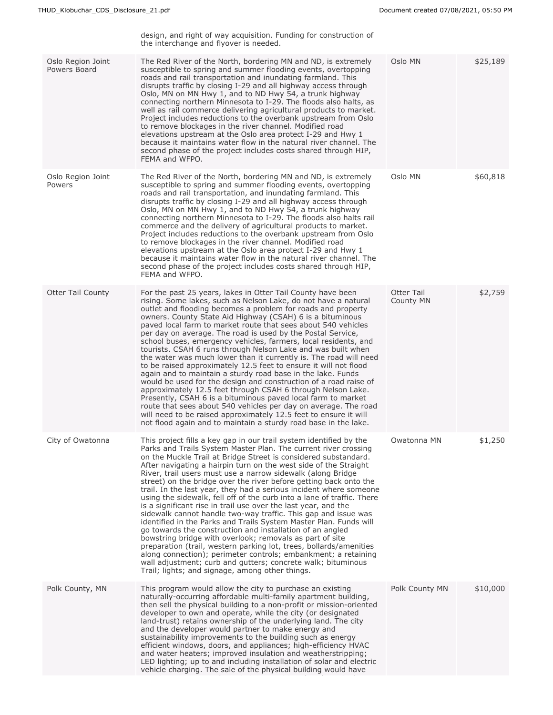|                                   | design, and right of way acquisition. Funding for construction of<br>the interchange and flyover is needed.                                                                                                                                                                                                                                                                                                                                                                                                                                                                                                                                                                                                                                                                                                                                                                                                                                                                                                                                                                                                                                                   |                         |          |
|-----------------------------------|---------------------------------------------------------------------------------------------------------------------------------------------------------------------------------------------------------------------------------------------------------------------------------------------------------------------------------------------------------------------------------------------------------------------------------------------------------------------------------------------------------------------------------------------------------------------------------------------------------------------------------------------------------------------------------------------------------------------------------------------------------------------------------------------------------------------------------------------------------------------------------------------------------------------------------------------------------------------------------------------------------------------------------------------------------------------------------------------------------------------------------------------------------------|-------------------------|----------|
| Oslo Region Joint<br>Powers Board | The Red River of the North, bordering MN and ND, is extremely<br>susceptible to spring and summer flooding events, overtopping<br>roads and rail transportation and inundating farmland. This<br>disrupts traffic by closing I-29 and all highway access through<br>Oslo, MN on MN Hwy 1, and to ND Hwy 54, a trunk highway<br>connecting northern Minnesota to I-29. The floods also halts, as<br>well as rail commerce delivering agricultural products to market.<br>Project includes reductions to the overbank upstream from Oslo<br>to remove blockages in the river channel. Modified road<br>elevations upstream at the Oslo area protect I-29 and Hwy 1<br>because it maintains water flow in the natural river channel. The<br>second phase of the project includes costs shared through HIP,<br>FEMA and WFPO.                                                                                                                                                                                                                                                                                                                                     | Oslo MN                 | \$25,189 |
| Oslo Region Joint<br>Powers       | The Red River of the North, bordering MN and ND, is extremely<br>susceptible to spring and summer flooding events, overtopping<br>roads and rail transportation, and inundating farmland. This<br>disrupts traffic by closing I-29 and all highway access through<br>Oslo, MN on MN Hwy 1, and to ND Hwy 54, a trunk highway<br>connecting northern Minnesota to I-29. The floods also halts rail<br>commerce and the delivery of agricultural products to market.<br>Project includes reductions to the overbank upstream from Oslo<br>to remove blockages in the river channel. Modified road<br>elevations upstream at the Oslo area protect I-29 and Hwy 1<br>because it maintains water flow in the natural river channel. The<br>second phase of the project includes costs shared through HIP,<br>FEMA and WFPO.                                                                                                                                                                                                                                                                                                                                       | Oslo MN                 | \$60,818 |
| <b>Otter Tail County</b>          | For the past 25 years, lakes in Otter Tail County have been<br>rising. Some lakes, such as Nelson Lake, do not have a natural<br>outlet and flooding becomes a problem for roads and property<br>owners. County State Aid Highway (CSAH) 6 is a bituminous<br>paved local farm to market route that sees about 540 vehicles<br>per day on average. The road is used by the Postal Service,<br>school buses, emergency vehicles, farmers, local residents, and<br>tourists. CSAH 6 runs through Nelson Lake and was built when<br>the water was much lower than it currently is. The road will need<br>to be raised approximately 12.5 feet to ensure it will not flood<br>again and to maintain a sturdy road base in the lake. Funds<br>would be used for the design and construction of a road raise of<br>approximately 12.5 feet through CSAH 6 through Nelson Lake.<br>Presently, CSAH 6 is a bituminous paved local farm to market<br>route that sees about 540 vehicles per day on average. The road<br>will need to be raised approximately 12.5 feet to ensure it will<br>not flood again and to maintain a sturdy road base in the lake.            | Otter Tail<br>County MN | \$2,759  |
| City of Owatonna                  | This project fills a key gap in our trail system identified by the<br>Parks and Trails System Master Plan. The current river crossing<br>on the Muckle Trail at Bridge Street is considered substandard.<br>After navigating a hairpin turn on the west side of the Straight<br>River, trail users must use a narrow sidewalk (along Bridge<br>street) on the bridge over the river before getting back onto the<br>trail. In the last year, they had a serious incident where someone<br>using the sidewalk, fell off of the curb into a lane of traffic. There<br>is a significant rise in trail use over the last year, and the<br>sidewalk cannot handle two-way traffic. This gap and issue was<br>identified in the Parks and Trails System Master Plan. Funds will<br>go towards the construction and installation of an angled<br>bowstring bridge with overlook; removals as part of site<br>preparation (trail, western parking lot, trees, bollards/amenities<br>along connection); perimeter controls; embankment; a retaining<br>wall adjustment; curb and gutters; concrete walk; bituminous<br>Trail; lights; and signage, among other things. | Owatonna MN             | \$1,250  |
| Polk County, MN                   | This program would allow the city to purchase an existing<br>naturally-occurring affordable multi-family apartment building,<br>then sell the physical building to a non-profit or mission-oriented<br>developer to own and operate, while the city (or designated<br>land-trust) retains ownership of the underlying land. The city<br>and the developer would partner to make energy and<br>sustainability improvements to the building such as energy<br>efficient windows, doors, and appliances; high-efficiency HVAC<br>and water heaters; improved insulation and weatherstripping;<br>LED lighting; up to and including installation of solar and electric<br>vehicle charging. The sale of the physical building would have                                                                                                                                                                                                                                                                                                                                                                                                                          | Polk County MN          | \$10,000 |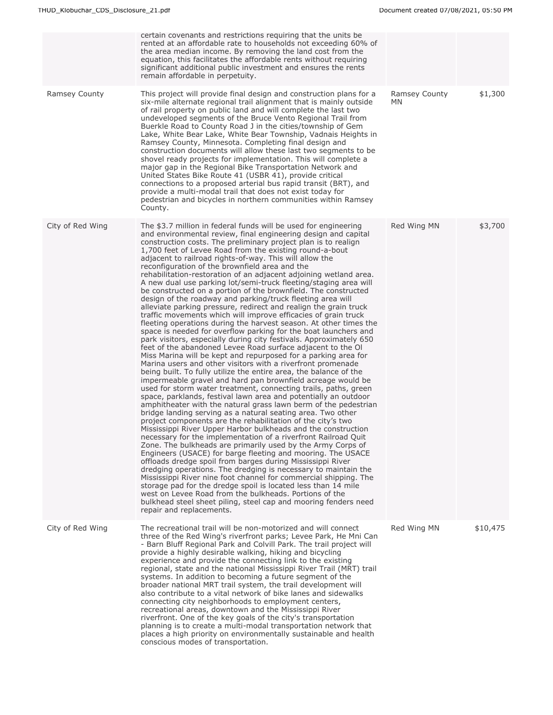|                  | certain covenants and restrictions requiring that the units be<br>rented at an affordable rate to households not exceeding 60% of<br>the area median income. By removing the land cost from the<br>equation, this facilitates the affordable rents without requiring<br>significant additional public investment and ensures the rents<br>remain affordable in perpetuity.                                                                                                                                                                                                                                                                                                                                                                                                                                                                                                                                                                                                                                                                                                                                                                                                                                                                                                                                                                                                                                                                                                                                                                                                                                                                                                                                                                                                                                                                                                                                                                                                                                                                                                                                                                                                                                                                                                                                                                                                         |                      |          |
|------------------|------------------------------------------------------------------------------------------------------------------------------------------------------------------------------------------------------------------------------------------------------------------------------------------------------------------------------------------------------------------------------------------------------------------------------------------------------------------------------------------------------------------------------------------------------------------------------------------------------------------------------------------------------------------------------------------------------------------------------------------------------------------------------------------------------------------------------------------------------------------------------------------------------------------------------------------------------------------------------------------------------------------------------------------------------------------------------------------------------------------------------------------------------------------------------------------------------------------------------------------------------------------------------------------------------------------------------------------------------------------------------------------------------------------------------------------------------------------------------------------------------------------------------------------------------------------------------------------------------------------------------------------------------------------------------------------------------------------------------------------------------------------------------------------------------------------------------------------------------------------------------------------------------------------------------------------------------------------------------------------------------------------------------------------------------------------------------------------------------------------------------------------------------------------------------------------------------------------------------------------------------------------------------------------------------------------------------------------------------------------------------------|----------------------|----------|
| Ramsey County    | This project will provide final design and construction plans for a<br>six-mile alternate regional trail alignment that is mainly outside<br>of rail property on public land and will complete the last two<br>undeveloped segments of the Bruce Vento Regional Trail from<br>Buerkle Road to County Road J in the cities/township of Gem<br>Lake, White Bear Lake, White Bear Township, Vadnais Heights in<br>Ramsey County, Minnesota. Completing final design and<br>construction documents will allow these last two segments to be<br>shovel ready projects for implementation. This will complete a<br>major gap in the Regional Bike Transportation Network and<br>United States Bike Route 41 (USBR 41), provide critical<br>connections to a proposed arterial bus rapid transit (BRT), and<br>provide a multi-modal trail that does not exist today for<br>pedestrian and bicycles in northern communities within Ramsey<br>County.                                                                                                                                                                                                                                                                                                                                                                                                                                                                                                                                                                                                                                                                                                                                                                                                                                                                                                                                                                                                                                                                                                                                                                                                                                                                                                                                                                                                                                      | Ramsey County<br>MN. | \$1,300  |
| City of Red Wing | The \$3.7 million in federal funds will be used for engineering<br>and environmental review, final engineering design and capital<br>construction costs. The preliminary project plan is to realign<br>1,700 feet of Levee Road from the existing round-a-bout<br>adjacent to railroad rights-of-way. This will allow the<br>reconfiguration of the brownfield area and the<br>rehabilitation-restoration of an adjacent adjoining wetland area.<br>A new dual use parking lot/semi-truck fleeting/staging area will<br>be constructed on a portion of the brownfield. The constructed<br>design of the roadway and parking/truck fleeting area will<br>alleviate parking pressure, redirect and realign the grain truck<br>traffic movements which will improve efficacies of grain truck<br>fleeting operations during the harvest season. At other times the<br>space is needed for overflow parking for the boat launchers and<br>park visitors, especially during city festivals. Approximately 650<br>feet of the abandoned Levee Road surface adjacent to the OI<br>Miss Marina will be kept and repurposed for a parking area for<br>Marina users and other visitors with a riverfront promenade<br>being built. To fully utilize the entire area, the balance of the<br>impermeable gravel and hard pan brownfield acreage would be<br>used for storm water treatment, connecting trails, paths, green<br>space, parklands, festival lawn area and potentially an outdoor<br>amphitheater with the natural grass lawn berm of the pedestrian<br>bridge landing serving as a natural seating area. Two other<br>project components are the rehabilitation of the city's two<br>Mississippi River Upper Harbor bulkheads and the construction<br>necessary for the implementation of a riverfront Railroad Quit<br>Zone. The bulkheads are primarily used by the Army Corps of<br>Engineers (USACE) for barge fleeting and mooring. The USACE<br>offloads dredge spoil from barges during Mississippi River<br>dredging operations. The dredging is necessary to maintain the<br>Mississippi River nine foot channel for commercial shipping. The<br>storage pad for the dredge spoil is located less than 14 mile<br>west on Levee Road from the bulkheads. Portions of the<br>bulkhead steel sheet piling, steel cap and mooring fenders need<br>repair and replacements. | Red Wing MN          | \$3,700  |
| City of Red Wing | The recreational trail will be non-motorized and will connect<br>three of the Red Wing's riverfront parks; Levee Park, He Mni Can<br>- Barn Bluff Regional Park and Colvill Park. The trail project will<br>provide a highly desirable walking, hiking and bicycling<br>experience and provide the connecting link to the existing<br>regional, state and the national Mississippi River Trail (MRT) trail<br>systems. In addition to becoming a future segment of the<br>broader national MRT trail system, the trail development will<br>also contribute to a vital network of bike lanes and sidewalks<br>connecting city neighborhoods to employment centers,<br>recreational areas, downtown and the Mississippi River<br>riverfront. One of the key goals of the city's transportation<br>planning is to create a multi-modal transportation network that<br>places a high priority on environmentally sustainable and health<br>conscious modes of transportation.                                                                                                                                                                                                                                                                                                                                                                                                                                                                                                                                                                                                                                                                                                                                                                                                                                                                                                                                                                                                                                                                                                                                                                                                                                                                                                                                                                                                          | Red Wing MN          | \$10,475 |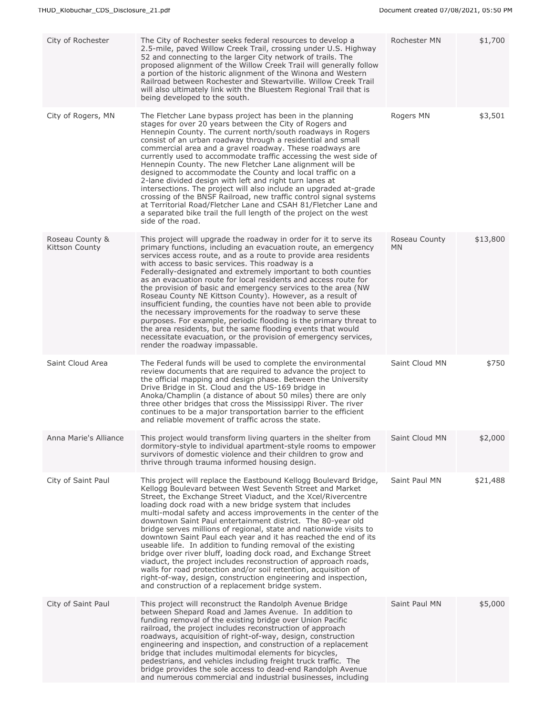| City of Rochester                        | The City of Rochester seeks federal resources to develop a<br>2.5-mile, paved Willow Creek Trail, crossing under U.S. Highway<br>52 and connecting to the larger City network of trails. The<br>proposed alignment of the Willow Creek Trail will generally follow<br>a portion of the historic alignment of the Winona and Western<br>Railroad between Rochester and Stewartville. Willow Creek Trail<br>will also ultimately link with the Bluestem Regional Trail that is<br>being developed to the south.                                                                                                                                                                                                                                                                                                                                                                                                                        | Rochester MN               | \$1,700  |
|------------------------------------------|--------------------------------------------------------------------------------------------------------------------------------------------------------------------------------------------------------------------------------------------------------------------------------------------------------------------------------------------------------------------------------------------------------------------------------------------------------------------------------------------------------------------------------------------------------------------------------------------------------------------------------------------------------------------------------------------------------------------------------------------------------------------------------------------------------------------------------------------------------------------------------------------------------------------------------------|----------------------------|----------|
| City of Rogers, MN                       | The Fletcher Lane bypass project has been in the planning<br>stages for over 20 years between the City of Rogers and<br>Hennepin County. The current north/south roadways in Rogers<br>consist of an urban roadway through a residential and small<br>commercial area and a gravel roadway. These roadways are<br>currently used to accommodate traffic accessing the west side of<br>Hennepin County. The new Fletcher Lane alignment will be<br>designed to accommodate the County and local traffic on a<br>2-lane divided design with left and right turn lanes at<br>intersections. The project will also include an upgraded at-grade<br>crossing of the BNSF Railroad, new traffic control signal systems<br>at Territorial Road/Fletcher Lane and CSAH 81/Fletcher Lane and<br>a separated bike trail the full length of the project on the west<br>side of the road.                                                        | Rogers MN                  | \$3,501  |
| Roseau County &<br><b>Kittson County</b> | This project will upgrade the roadway in order for it to serve its<br>primary functions, including an evacuation route, an emergency<br>services access route, and as a route to provide area residents<br>with access to basic services. This roadway is a<br>Federally-designated and extremely important to both counties<br>as an evacuation route for local residents and access route for<br>the provision of basic and emergency services to the area (NW<br>Roseau County NE Kittson County). However, as a result of<br>insufficient funding, the counties have not been able to provide<br>the necessary improvements for the roadway to serve these<br>purposes. For example, periodic flooding is the primary threat to<br>the area residents, but the same flooding events that would<br>necessitate evacuation, or the provision of emergency services,<br>render the roadway impassable.                              | Roseau County<br><b>MN</b> | \$13,800 |
| Saint Cloud Area                         | The Federal funds will be used to complete the environmental<br>review documents that are required to advance the project to<br>the official mapping and design phase. Between the University<br>Drive Bridge in St. Cloud and the US-169 bridge in<br>Anoka/Champlin (a distance of about 50 miles) there are only<br>three other bridges that cross the Mississippi River. The river<br>continues to be a major transportation barrier to the efficient<br>and reliable movement of traffic across the state.                                                                                                                                                                                                                                                                                                                                                                                                                      | Saint Cloud MN             | \$750    |
| Anna Marie's Alliance                    | This project would transform living quarters in the shelter from<br>dormitory-style to individual apartment-style rooms to empower<br>survivors of domestic violence and their children to grow and<br>thrive through trauma informed housing design.                                                                                                                                                                                                                                                                                                                                                                                                                                                                                                                                                                                                                                                                                | Saint Cloud MN             | \$2,000  |
| City of Saint Paul                       | This project will replace the Eastbound Kellogg Boulevard Bridge,<br>Kellogg Boulevard between West Seventh Street and Market<br>Street, the Exchange Street Viaduct, and the Xcel/Rivercentre<br>loading dock road with a new bridge system that includes<br>multi-modal safety and access improvements in the center of the<br>downtown Saint Paul entertainment district. The 80-year old<br>bridge serves millions of regional, state and nationwide visits to<br>downtown Saint Paul each year and it has reached the end of its<br>useable life. In addition to funding removal of the existing<br>bridge over river bluff, loading dock road, and Exchange Street<br>viaduct, the project includes reconstruction of approach roads,<br>walls for road protection and/or soil retention, acquisition of<br>right-of-way, design, construction engineering and inspection,<br>and construction of a replacement bridge system. | Saint Paul MN              | \$21,488 |
| City of Saint Paul                       | This project will reconstruct the Randolph Avenue Bridge<br>between Shepard Road and James Avenue. In addition to<br>funding removal of the existing bridge over Union Pacific<br>railroad, the project includes reconstruction of approach<br>roadways, acquisition of right-of-way, design, construction<br>engineering and inspection, and construction of a replacement<br>bridge that includes multimodal elements for bicycles,<br>pedestrians, and vehicles including freight truck traffic. The<br>bridge provides the sole access to dead-end Randolph Avenue<br>and numerous commercial and industrial businesses, including                                                                                                                                                                                                                                                                                               | Saint Paul MN              | \$5,000  |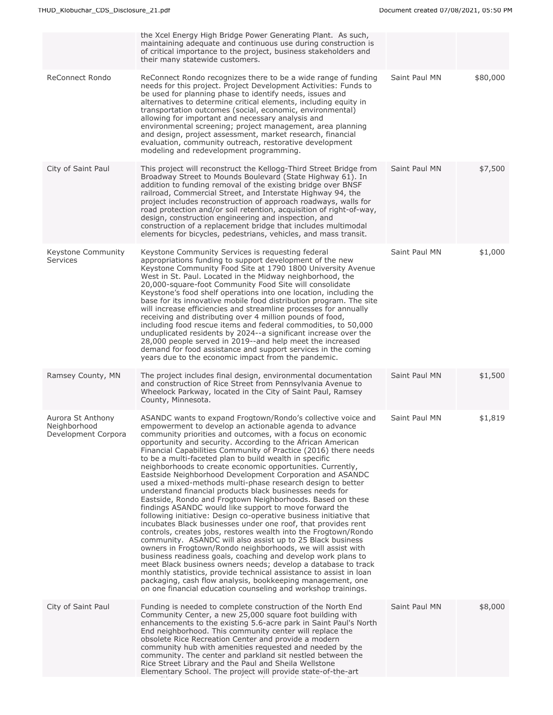|                                                          | the Xcel Energy High Bridge Power Generating Plant. As such,<br>maintaining adequate and continuous use during construction is<br>of critical importance to the project, business stakeholders and<br>their many statewide customers.                                                                                                                                                                                                                                                                                                                                                                                                                                                                                                                                                                                                                                                                                                                                                                                                                                                                                                                                                                                                                                                                                                                                                                                                      |               |          |
|----------------------------------------------------------|--------------------------------------------------------------------------------------------------------------------------------------------------------------------------------------------------------------------------------------------------------------------------------------------------------------------------------------------------------------------------------------------------------------------------------------------------------------------------------------------------------------------------------------------------------------------------------------------------------------------------------------------------------------------------------------------------------------------------------------------------------------------------------------------------------------------------------------------------------------------------------------------------------------------------------------------------------------------------------------------------------------------------------------------------------------------------------------------------------------------------------------------------------------------------------------------------------------------------------------------------------------------------------------------------------------------------------------------------------------------------------------------------------------------------------------------|---------------|----------|
| <b>ReConnect Rondo</b>                                   | ReConnect Rondo recognizes there to be a wide range of funding<br>needs for this project. Project Development Activities: Funds to<br>be used for planning phase to identify needs, issues and<br>alternatives to determine critical elements, including equity in<br>transportation outcomes (social, economic, environmental)<br>allowing for important and necessary analysis and<br>environmental screening; project management, area planning<br>and design, project assessment, market research, financial<br>evaluation, community outreach, restorative development<br>modeling and redevelopment programming.                                                                                                                                                                                                                                                                                                                                                                                                                                                                                                                                                                                                                                                                                                                                                                                                                     | Saint Paul MN | \$80,000 |
| City of Saint Paul                                       | This project will reconstruct the Kellogg-Third Street Bridge from<br>Broadway Street to Mounds Boulevard (State Highway 61). In<br>addition to funding removal of the existing bridge over BNSF<br>railroad, Commercial Street, and Interstate Highway 94, the<br>project includes reconstruction of approach roadways, walls for<br>road protection and/or soil retention, acquisition of right-of-way,<br>design, construction engineering and inspection, and<br>construction of a replacement bridge that includes multimodal<br>elements for bicycles, pedestrians, vehicles, and mass transit.                                                                                                                                                                                                                                                                                                                                                                                                                                                                                                                                                                                                                                                                                                                                                                                                                                      | Saint Paul MN | \$7,500  |
| Keystone Community<br>Services                           | Keystone Community Services is requesting federal<br>appropriations funding to support development of the new<br>Keystone Community Food Site at 1790 1800 University Avenue<br>West in St. Paul. Located in the Midway neighborhood, the<br>20,000-square-foot Community Food Site will consolidate<br>Keystone's food shelf operations into one location, including the<br>base for its innovative mobile food distribution program. The site<br>will increase efficiencies and streamline processes for annually<br>receiving and distributing over 4 million pounds of food,<br>including food rescue items and federal commodities, to 50,000<br>unduplicated residents by 2024--a significant increase over the<br>28,000 people served in 2019--and help meet the increased<br>demand for food assistance and support services in the coming<br>years due to the economic impact from the pandemic.                                                                                                                                                                                                                                                                                                                                                                                                                                                                                                                                 | Saint Paul MN | \$1,000  |
| Ramsey County, MN                                        | The project includes final design, environmental documentation<br>and construction of Rice Street from Pennsylvania Avenue to<br>Wheelock Parkway, located in the City of Saint Paul, Ramsey<br>County, Minnesota.                                                                                                                                                                                                                                                                                                                                                                                                                                                                                                                                                                                                                                                                                                                                                                                                                                                                                                                                                                                                                                                                                                                                                                                                                         | Saint Paul MN | \$1,500  |
| Aurora St Anthony<br>Neighborhood<br>Development Corpora | ASANDC wants to expand Frogtown/Rondo's collective voice and<br>empowerment to develop an actionable agenda to advance<br>community priorities and outcomes, with a focus on economic<br>opportunity and security. According to the African American<br>Financial Capabilities Community of Practice (2016) there needs<br>to be a multi-faceted plan to build wealth in specific<br>neighborhoods to create economic opportunities. Currently,<br>Eastside Neighborhood Development Corporation and ASANDC<br>used a mixed-methods multi-phase research design to better<br>understand financial products black businesses needs for<br>Eastside, Rondo and Frogtown Neighborhoods. Based on these<br>findings ASANDC would like support to move forward the<br>following initiative: Design co-operative business initiative that<br>incubates Black businesses under one roof, that provides rent<br>controls, creates jobs, restores wealth into the Frogtown/Rondo<br>community. ASANDC will also assist up to 25 Black business<br>owners in Frogtown/Rondo neighborhoods, we will assist with<br>business readiness goals, coaching and develop work plans to<br>meet Black business owners needs; develop a database to track<br>monthly statistics, provide technical assistance to assist in loan<br>packaging, cash flow analysis, bookkeeping management, one<br>on one financial education counseling and workshop trainings. | Saint Paul MN | \$1,819  |
| City of Saint Paul                                       | Funding is needed to complete construction of the North End<br>Community Center, a new 25,000 square foot building with<br>enhancements to the existing 5.6-acre park in Saint Paul's North<br>End neighborhood. This community center will replace the<br>obsolete Rice Recreation Center and provide a modern<br>community hub with amenities requested and needed by the<br>community. The center and parkland sit nestled between the<br>Rice Street Library and the Paul and Sheila Wellstone<br>Elementary School. The project will provide state-of-the-art                                                                                                                                                                                                                                                                                                                                                                                                                                                                                                                                                                                                                                                                                                                                                                                                                                                                         | Saint Paul MN | \$8,000  |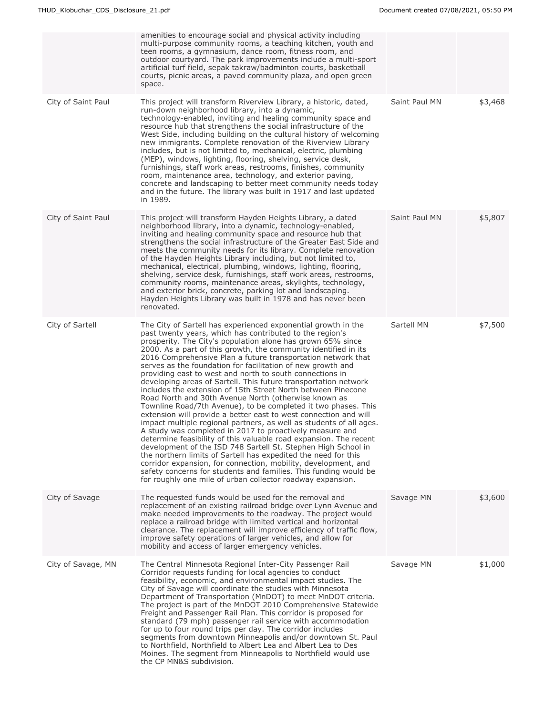|                    | amenities to encourage social and physical activity including<br>multi-purpose community rooms, a teaching kitchen, youth and<br>teen rooms, a gymnasium, dance room, fitness room, and<br>outdoor courtyard. The park improvements include a multi-sport<br>artificial turf field, sepak takraw/badminton courts, basketball<br>courts, picnic areas, a paved community plaza, and open green<br>space.                                                                                                                                                                                                                                                                                                                                                                                                                                                                                                                                                                                                                                                                                                                                                                                                                                                                                                                               |               |         |
|--------------------|----------------------------------------------------------------------------------------------------------------------------------------------------------------------------------------------------------------------------------------------------------------------------------------------------------------------------------------------------------------------------------------------------------------------------------------------------------------------------------------------------------------------------------------------------------------------------------------------------------------------------------------------------------------------------------------------------------------------------------------------------------------------------------------------------------------------------------------------------------------------------------------------------------------------------------------------------------------------------------------------------------------------------------------------------------------------------------------------------------------------------------------------------------------------------------------------------------------------------------------------------------------------------------------------------------------------------------------|---------------|---------|
| City of Saint Paul | This project will transform Riverview Library, a historic, dated,<br>run-down neighborhood library, into a dynamic,<br>technology-enabled, inviting and healing community space and<br>resource hub that strengthens the social infrastructure of the<br>West Side, including building on the cultural history of welcoming<br>new immigrants. Complete renovation of the Riverview Library<br>includes, but is not limited to, mechanical, electric, plumbing<br>(MEP), windows, lighting, flooring, shelving, service desk,<br>furnishings, staff work areas, restrooms, finishes, community<br>room, maintenance area, technology, and exterior paving,<br>concrete and landscaping to better meet community needs today<br>and in the future. The library was built in 1917 and last updated<br>in 1989.                                                                                                                                                                                                                                                                                                                                                                                                                                                                                                                           | Saint Paul MN | \$3,468 |
| City of Saint Paul | This project will transform Hayden Heights Library, a dated<br>neighborhood library, into a dynamic, technology-enabled,<br>inviting and healing community space and resource hub that<br>strengthens the social infrastructure of the Greater East Side and<br>meets the community needs for its library. Complete renovation<br>of the Hayden Heights Library including, but not limited to,<br>mechanical, electrical, plumbing, windows, lighting, flooring,<br>shelving, service desk, furnishings, staff work areas, restrooms,<br>community rooms, maintenance areas, skylights, technology,<br>and exterior brick, concrete, parking lot and landscaping.<br>Hayden Heights Library was built in 1978 and has never been<br>renovated.                                                                                                                                                                                                                                                                                                                                                                                                                                                                                                                                                                                         | Saint Paul MN | \$5,807 |
| City of Sartell    | The City of Sartell has experienced exponential growth in the<br>past twenty years, which has contributed to the region's<br>prosperity. The City's population alone has grown 65% since<br>2000. As a part of this growth, the community identified in its<br>2016 Comprehensive Plan a future transportation network that<br>serves as the foundation for facilitation of new growth and<br>providing east to west and north to south connections in<br>developing areas of Sartell. This future transportation network<br>includes the extension of 15th Street North between Pinecone<br>Road North and 30th Avenue North (otherwise known as<br>Townline Road/7th Avenue), to be completed it two phases. This<br>extension will provide a better east to west connection and will<br>impact multiple regional partners, as well as students of all ages.<br>A study was completed in 2017 to proactively measure and<br>determine feasibility of this valuable road expansion. The recent<br>development of the ISD 748 Sartell St. Stephen High School in<br>the northern limits of Sartell has expedited the need for this<br>corridor expansion, for connection, mobility, development, and<br>safety concerns for students and families. This funding would be<br>for roughly one mile of urban collector roadway expansion. | Sartell MN    | \$7,500 |
| City of Savage     | The requested funds would be used for the removal and<br>replacement of an existing railroad bridge over Lynn Avenue and<br>make needed improvements to the roadway. The project would<br>replace a railroad bridge with limited vertical and horizontal<br>clearance. The replacement will improve efficiency of traffic flow,<br>improve safety operations of larger vehicles, and allow for<br>mobility and access of larger emergency vehicles.                                                                                                                                                                                                                                                                                                                                                                                                                                                                                                                                                                                                                                                                                                                                                                                                                                                                                    | Savage MN     | \$3,600 |
| City of Savage, MN | The Central Minnesota Regional Inter-City Passenger Rail<br>Corridor requests funding for local agencies to conduct<br>feasibility, economic, and environmental impact studies. The<br>City of Savage will coordinate the studies with Minnesota<br>Department of Transportation (MnDOT) to meet MnDOT criteria.<br>The project is part of the MnDOT 2010 Comprehensive Statewide<br>Freight and Passenger Rail Plan. This corridor is proposed for<br>standard (79 mph) passenger rail service with accommodation<br>for up to four round trips per day. The corridor includes<br>segments from downtown Minneapolis and/or downtown St. Paul<br>to Northfield, Northfield to Albert Lea and Albert Lea to Des<br>Moines. The segment from Minneapolis to Northfield would use<br>the CP MN&S subdivision.                                                                                                                                                                                                                                                                                                                                                                                                                                                                                                                            | Savage MN     | \$1,000 |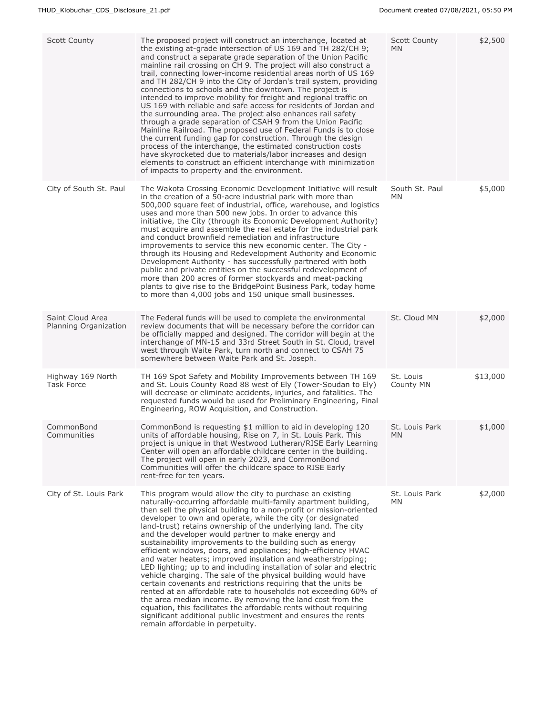| <b>Scott County</b>                       | The proposed project will construct an interchange, located at<br>the existing at-grade intersection of US 169 and TH 282/CH 9;<br>and construct a separate grade separation of the Union Pacific<br>mainline rail crossing on CH 9. The project will also construct a<br>trail, connecting lower-income residential areas north of US 169<br>and TH 282/CH 9 into the City of Jordan's trail system, providing<br>connections to schools and the downtown. The project is<br>intended to improve mobility for freight and regional traffic on<br>US 169 with reliable and safe access for residents of Jordan and<br>the surrounding area. The project also enhances rail safety<br>through a grade separation of CSAH 9 from the Union Pacific<br>Mainline Railroad. The proposed use of Federal Funds is to close<br>the current funding gap for construction. Through the design<br>process of the interchange, the estimated construction costs<br>have skyrocketed due to materials/labor increases and design<br>elements to construct an efficient interchange with minimization<br>of impacts to property and the environment. | <b>Scott County</b><br>MN. | \$2,500  |
|-------------------------------------------|-----------------------------------------------------------------------------------------------------------------------------------------------------------------------------------------------------------------------------------------------------------------------------------------------------------------------------------------------------------------------------------------------------------------------------------------------------------------------------------------------------------------------------------------------------------------------------------------------------------------------------------------------------------------------------------------------------------------------------------------------------------------------------------------------------------------------------------------------------------------------------------------------------------------------------------------------------------------------------------------------------------------------------------------------------------------------------------------------------------------------------------------|----------------------------|----------|
| City of South St. Paul                    | The Wakota Crossing Economic Development Initiative will result<br>in the creation of a 50-acre industrial park with more than<br>500,000 square feet of industrial, office, warehouse, and logistics<br>uses and more than 500 new jobs. In order to advance this<br>initiative, the City (through its Economic Development Authority)<br>must acquire and assemble the real estate for the industrial park<br>and conduct brownfield remediation and infrastructure<br>improvements to service this new economic center. The City -<br>through its Housing and Redevelopment Authority and Economic<br>Development Authority - has successfully partnered with both<br>public and private entities on the successful redevelopment of<br>more than 200 acres of former stockyards and meat-packing<br>plants to give rise to the BridgePoint Business Park, today home<br>to more than 4,000 jobs and 150 unique small businesses.                                                                                                                                                                                                    | South St. Paul<br>MN.      | \$5,000  |
| Saint Cloud Area<br>Planning Organization | The Federal funds will be used to complete the environmental<br>review documents that will be necessary before the corridor can<br>be officially mapped and designed. The corridor will begin at the<br>interchange of MN-15 and 33rd Street South in St. Cloud, travel<br>west through Waite Park, turn north and connect to CSAH 75<br>somewhere between Waite Park and St. Joseph.                                                                                                                                                                                                                                                                                                                                                                                                                                                                                                                                                                                                                                                                                                                                                   | St. Cloud MN               | \$2,000  |
| Highway 169 North<br><b>Task Force</b>    | TH 169 Spot Safety and Mobility Improvements between TH 169<br>and St. Louis County Road 88 west of Ely (Tower-Soudan to Ely)<br>will decrease or eliminate accidents, injuries, and fatalities. The<br>requested funds would be used for Preliminary Engineering, Final<br>Engineering, ROW Acquisition, and Construction.                                                                                                                                                                                                                                                                                                                                                                                                                                                                                                                                                                                                                                                                                                                                                                                                             | St. Louis<br>County MN     | \$13,000 |
| CommonBond<br>Communities                 | CommonBond is requesting \$1 million to aid in developing 120<br>units of affordable housing, Rise on 7, in St. Louis Park. This<br>project is unique in that Westwood Lutheran/RISE Early Learning<br>Center will open an affordable childcare center in the building.<br>The project will open in early 2023, and CommonBond<br>Communities will offer the childcare space to RISE Early<br>rent-free for ten years.                                                                                                                                                                                                                                                                                                                                                                                                                                                                                                                                                                                                                                                                                                                  | St. Louis Park<br>ΜN       | \$1,000  |
| City of St. Louis Park                    | This program would allow the city to purchase an existing<br>naturally-occurring affordable multi-family apartment building,<br>then sell the physical building to a non-profit or mission-oriented<br>developer to own and operate, while the city (or designated<br>land-trust) retains ownership of the underlying land. The city<br>and the developer would partner to make energy and<br>sustainability improvements to the building such as energy<br>efficient windows, doors, and appliances; high-efficiency HVAC<br>and water heaters; improved insulation and weatherstripping;<br>LED lighting; up to and including installation of solar and electric<br>vehicle charging. The sale of the physical building would have<br>certain covenants and restrictions requiring that the units be<br>rented at an affordable rate to households not exceeding 60% of<br>the area median income. By removing the land cost from the<br>equation, this facilitates the affordable rents without requiring<br>significant additional public investment and ensures the rents<br>remain affordable in perpetuity.                      | St. Louis Park<br>MN.      | \$2,000  |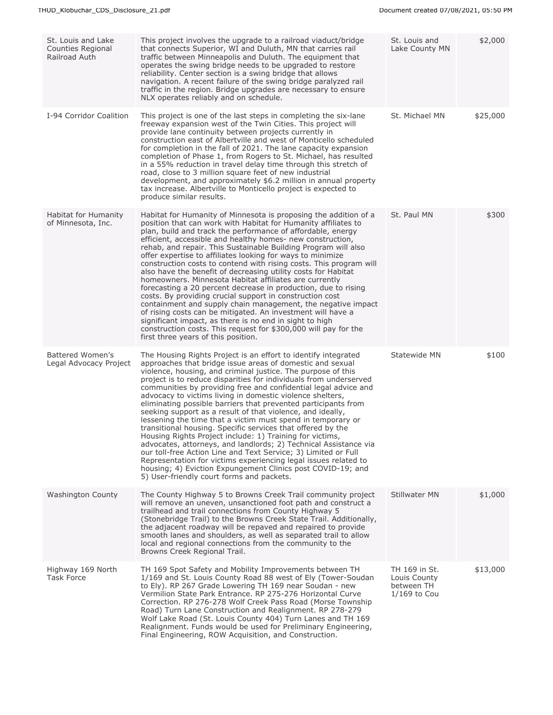| St. Louis and Lake<br>Counties Regional<br>Railroad Auth | This project involves the upgrade to a railroad viaduct/bridge<br>that connects Superior, WI and Duluth, MN that carries rail<br>traffic between Minneapolis and Duluth. The equipment that<br>operates the swing bridge needs to be upgraded to restore<br>reliability. Center section is a swing bridge that allows<br>navigation. A recent failure of the swing bridge paralyzed rail<br>traffic in the region. Bridge upgrades are necessary to ensure<br>NLX operates reliably and on schedule.                                                                                                                                                                                                                                                                                                                                                                                                                                                                                                                                            | St. Louis and<br>Lake County MN                               | \$2,000  |
|----------------------------------------------------------|-------------------------------------------------------------------------------------------------------------------------------------------------------------------------------------------------------------------------------------------------------------------------------------------------------------------------------------------------------------------------------------------------------------------------------------------------------------------------------------------------------------------------------------------------------------------------------------------------------------------------------------------------------------------------------------------------------------------------------------------------------------------------------------------------------------------------------------------------------------------------------------------------------------------------------------------------------------------------------------------------------------------------------------------------|---------------------------------------------------------------|----------|
| I-94 Corridor Coalition                                  | This project is one of the last steps in completing the six-lane<br>freeway expansion west of the Twin Cities. This project will<br>provide lane continuity between projects currently in<br>construction east of Albertville and west of Monticello scheduled<br>for completion in the fall of 2021. The lane capacity expansion<br>completion of Phase 1, from Rogers to St. Michael, has resulted<br>in a 55% reduction in travel delay time through this stretch of<br>road, close to 3 million square feet of new industrial<br>development, and approximately \$6.2 million in annual property<br>tax increase. Albertyille to Monticello project is expected to<br>produce similar results.                                                                                                                                                                                                                                                                                                                                              | St. Michael MN                                                | \$25,000 |
| Habitat for Humanity<br>of Minnesota, Inc.               | Habitat for Humanity of Minnesota is proposing the addition of a<br>position that can work with Habitat for Humanity affiliates to<br>plan, build and track the performance of affordable, energy<br>efficient, accessible and healthy homes- new construction,<br>rehab, and repair. This Sustainable Building Program will also<br>offer expertise to affiliates looking for ways to minimize<br>construction costs to contend with rising costs. This program will<br>also have the benefit of decreasing utility costs for Habitat<br>homeowners. Minnesota Habitat affiliates are currently<br>forecasting a 20 percent decrease in production, due to rising<br>costs. By providing crucial support in construction cost<br>containment and supply chain management, the negative impact<br>of rising costs can be mitigated. An investment will have a<br>significant impact, as there is no end in sight to high<br>construction costs. This request for \$300,000 will pay for the<br>first three years of this position.              | St. Paul MN                                                   | \$300    |
| Battered Women's<br>Legal Advocacy Project               | The Housing Rights Project is an effort to identify integrated<br>approaches that bridge issue areas of domestic and sexual<br>violence, housing, and criminal justice. The purpose of this<br>project is to reduce disparities for individuals from underserved<br>communities by providing free and confidential legal advice and<br>advocacy to victims living in domestic violence shelters,<br>eliminating possible barriers that prevented participants from<br>seeking support as a result of that violence, and ideally,<br>lessening the time that a victim must spend in temporary or<br>transitional housing. Specific services that offered by the<br>Housing Rights Project include: 1) Training for victims,<br>advocates, attorneys, and landlords; 2) Technical Assistance via<br>our toll-free Action Line and Text Service; 3) Limited or Full<br>Representation for victims experiencing legal issues related to<br>housing; 4) Eviction Expungement Clinics post COVID-19; and<br>5) User-friendly court forms and packets. | Statewide MN                                                  | \$100    |
| <b>Washington County</b>                                 | The County Highway 5 to Browns Creek Trail community project<br>will remove an uneven, unsanctioned foot path and construct a<br>trailhead and trail connections from County Highway 5<br>(Stonebridge Trail) to the Browns Creek State Trail. Additionally,<br>the adjacent roadway will be repaved and repaired to provide<br>smooth lanes and shoulders, as well as separated trail to allow<br>local and regional connections from the community to the<br>Browns Creek Regional Trail.                                                                                                                                                                                                                                                                                                                                                                                                                                                                                                                                                     | <b>Stillwater MN</b>                                          | \$1,000  |
| Highway 169 North<br><b>Task Force</b>                   | TH 169 Spot Safety and Mobility Improvements between TH<br>1/169 and St. Louis County Road 88 west of Ely (Tower-Soudan<br>to Ely). RP 267 Grade Lowering TH 169 near Soudan - new<br>Vermilion State Park Entrance. RP 275-276 Horizontal Curve<br>Correction. RP 276-278 Wolf Creek Pass Road (Morse Township<br>Road) Turn Lane Construction and Realignment. RP 278-279<br>Wolf Lake Road (St. Louis County 404) Turn Lanes and TH 169<br>Realignment. Funds would be used for Preliminary Engineering,<br>Final Engineering, ROW Acquisition, and Construction.                                                                                                                                                                                                                                                                                                                                                                                                                                                                            | TH 169 in St.<br>Louis County<br>between TH<br>$1/169$ to Cou | \$13,000 |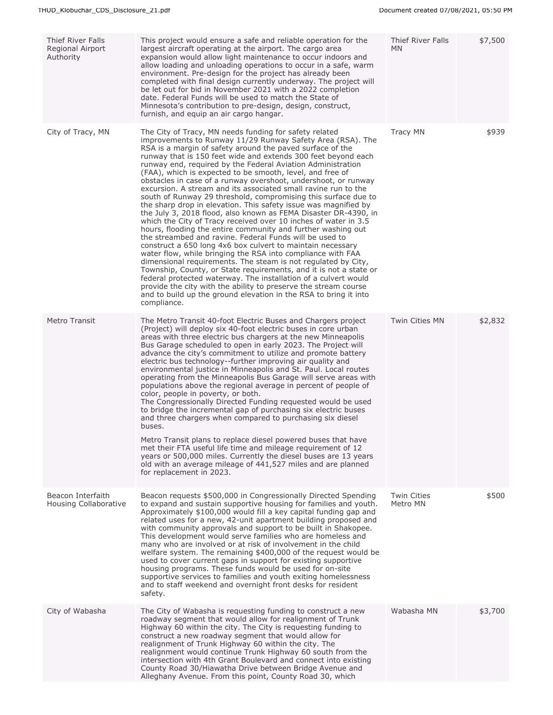| <b>Thief River Falls</b><br>Regional Airport<br>Authority | This project would ensure a safe and reliable operation for the<br>largest aircraft operating at the airport. The cargo area<br>expansion would allow light maintenance to occur indoors and<br>allow loading and unloading operations to occur in a safe, warm<br>environment. Pre-design for the project has already been<br>completed with final design currently underway. The project will<br>be let out for bid in November 2021 with a 2022 completion<br>date. Federal Funds will be used to match the State of<br>Minnesota's contribution to pre-design, design, construct,<br>furnish, and equip an air cargo hangar.                                                                                                                                                                                                                                                                                                                                                                                                                                                                                                                                                                                                                                                                                                                                                                                     | Thief River Falls<br><b>MN</b> | \$7,500 |
|-----------------------------------------------------------|----------------------------------------------------------------------------------------------------------------------------------------------------------------------------------------------------------------------------------------------------------------------------------------------------------------------------------------------------------------------------------------------------------------------------------------------------------------------------------------------------------------------------------------------------------------------------------------------------------------------------------------------------------------------------------------------------------------------------------------------------------------------------------------------------------------------------------------------------------------------------------------------------------------------------------------------------------------------------------------------------------------------------------------------------------------------------------------------------------------------------------------------------------------------------------------------------------------------------------------------------------------------------------------------------------------------------------------------------------------------------------------------------------------------|--------------------------------|---------|
| City of Tracy, MN                                         | The City of Tracy, MN needs funding for safety related<br>improvements to Runway 11/29 Runway Safety Area (RSA). The<br>RSA is a margin of safety around the paved surface of the<br>runway that is 150 feet wide and extends 300 feet beyond each<br>runway end, required by the Federal Aviation Administration<br>(FAA), which is expected to be smooth, level, and free of<br>obstacles in case of a runway overshoot, undershoot, or runway<br>excursion. A stream and its associated small ravine run to the<br>south of Runway 29 threshold, compromising this surface due to<br>the sharp drop in elevation. This safety issue was magnified by<br>the July 3, 2018 flood, also known as FEMA Disaster DR-4390, in<br>which the City of Tracy received over 10 inches of water in 3.5<br>hours, flooding the entire community and further washing out<br>the streambed and ravine. Federal Funds will be used to<br>construct a 650 long 4x6 box culvert to maintain necessary<br>water flow, while bringing the RSA into compliance with FAA<br>dimensional requirements. The steam is not requiated by City,<br>Township, County, or State requirements, and it is not a state or<br>federal protected waterway. The installation of a culvert would<br>provide the city with the ability to preserve the stream course<br>and to build up the ground elevation in the RSA to bring it into<br>compliance. | <b>Tracy MN</b>                | \$939   |
| <b>Metro Transit</b>                                      | The Metro Transit 40-foot Electric Buses and Chargers project<br>(Project) will deploy six 40-foot electric buses in core urban<br>areas with three electric bus chargers at the new Minneapolis<br>Bus Garage scheduled to open in early 2023. The Project will<br>advance the city's commitment to utilize and promote battery<br>electric bus technology--further improving air quality and<br>environmental justice in Minneapolis and St. Paul. Local routes<br>operating from the Minneapolis Bus Garage will serve areas with<br>populations above the regional average in percent of people of<br>color, people in poverty, or both.<br>The Congressionally Directed Funding requested would be used<br>to bridge the incremental gap of purchasing six electric buses<br>and three chargers when compared to purchasing six diesel<br>buses.<br>Metro Transit plans to replace diesel powered buses that have<br>met their FTA useful life time and mileage requirement of 12<br>years or 500,000 miles. Currently the diesel buses are 13 years<br>old with an average mileage of 441,527 miles and are planned<br>for replacement in 2023.                                                                                                                                                                                                                                                                | <b>Twin Cities MN</b>          | \$2,832 |
| Beacon Interfaith<br>Housing Collaborative                | Beacon requests \$500,000 in Congressionally Directed Spending<br>to expand and sustain supportive housing for families and youth.<br>Approximately \$100,000 would fill a key capital funding gap and<br>related uses for a new, 42-unit apartment building proposed and<br>with community approvals and support to be built in Shakopee.<br>This development would serve families who are homeless and<br>many who are involved or at risk of involvement in the child<br>welfare system. The remaining \$400,000 of the request would be<br>used to cover current gaps in support for existing supportive<br>housing programs. These funds would be used for on-site<br>supportive services to families and youth exiting homelessness<br>and to staff weekend and overnight front desks for resident<br>safety.                                                                                                                                                                                                                                                                                                                                                                                                                                                                                                                                                                                                  | <b>Twin Cities</b><br>Metro MN | \$500   |
| City of Wabasha                                           | The City of Wabasha is requesting funding to construct a new<br>roadway segment that would allow for realignment of Trunk<br>Highway 60 within the city. The City is requesting funding to<br>construct a new roadway segment that would allow for<br>realignment of Trunk Highway 60 within the city. The<br>realignment would continue Trunk Highway 60 south from the<br>intersection with 4th Grant Boulevard and connect into existing<br>County Road 30/Hiawatha Drive between Bridge Avenue and<br>Alleghany Avenue. From this point, County Road 30, which                                                                                                                                                                                                                                                                                                                                                                                                                                                                                                                                                                                                                                                                                                                                                                                                                                                   | Wabasha MN                     | \$3,700 |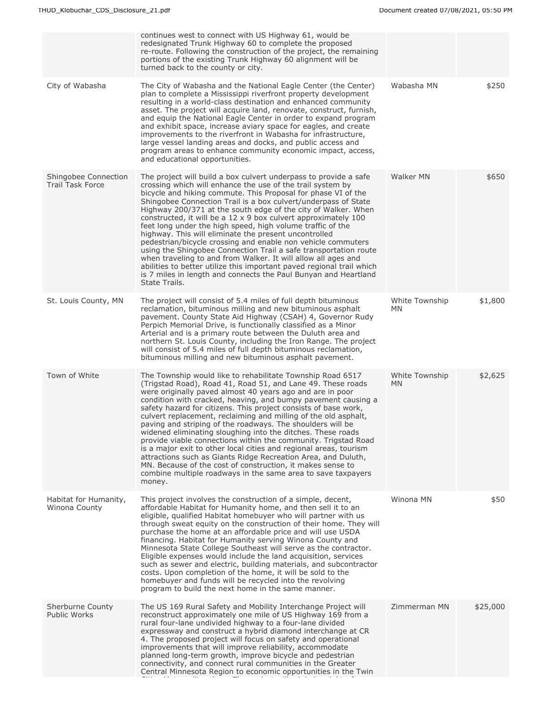|                                                 | continues west to connect with US Highway 61, would be<br>redesignated Trunk Highway 60 to complete the proposed<br>re-route. Following the construction of the project, the remaining<br>portions of the existing Trunk Highway 60 alignment will be<br>turned back to the county or city.                                                                                                                                                                                                                                                                                                                                                                                                                                                                                                                                                                                                   |                             |          |
|-------------------------------------------------|-----------------------------------------------------------------------------------------------------------------------------------------------------------------------------------------------------------------------------------------------------------------------------------------------------------------------------------------------------------------------------------------------------------------------------------------------------------------------------------------------------------------------------------------------------------------------------------------------------------------------------------------------------------------------------------------------------------------------------------------------------------------------------------------------------------------------------------------------------------------------------------------------|-----------------------------|----------|
| City of Wabasha                                 | The City of Wabasha and the National Eagle Center (the Center)<br>plan to complete a Mississippi riverfront property development<br>resulting in a world-class destination and enhanced community<br>asset. The project will acquire land, renovate, construct, furnish,<br>and equip the National Eagle Center in order to expand program<br>and exhibit space, increase aviary space for eagles, and create<br>improvements to the riverfront in Wabasha for infrastructure,<br>large vessel landing areas and docks, and public access and<br>program areas to enhance community economic impact, access,<br>and educational opportunities.                                                                                                                                                                                                                                                | Wabasha MN                  | \$250    |
| Shingobee Connection<br><b>Trail Task Force</b> | The project will build a box culvert underpass to provide a safe<br>crossing which will enhance the use of the trail system by<br>bicycle and hiking commute. This Proposal for phase VI of the<br>Shingobee Connection Trail is a box culvert/underpass of State<br>Highway 200/371 at the south edge of the city of Walker. When<br>constructed, it will be a 12 x 9 box culvert approximately 100<br>feet long under the high speed, high volume traffic of the<br>highway. This will eliminate the present uncontrolled<br>pedestrian/bicycle crossing and enable non vehicle commuters<br>using the Shingobee Connection Trail a safe transportation route<br>when traveling to and from Walker. It will allow all ages and<br>abilities to better utilize this important paved regional trail which<br>is 7 miles in length and connects the Paul Bunyan and Heartland<br>State Trails. | Walker MN                   | \$650    |
| St. Louis County, MN                            | The project will consist of 5.4 miles of full depth bituminous<br>reclamation, bituminous milling and new bituminous asphalt<br>pavement. County State Aid Highway (CSAH) 4, Governor Rudy<br>Perpich Memorial Drive, is functionally classified as a Minor<br>Arterial and is a primary route between the Duluth area and<br>northern St. Louis County, including the Iron Range. The project<br>will consist of 5.4 miles of full depth bituminous reclamation,<br>bituminous milling and new bituminous asphalt pavement.                                                                                                                                                                                                                                                                                                                                                                  | White Township<br>MN        | \$1,800  |
| Town of White                                   | The Township would like to rehabilitate Township Road 6517<br>(Trigstad Road), Road 41, Road 51, and Lane 49. These roads<br>were originally paved almost 40 years ago and are in poor<br>condition with cracked, heaving, and bumpy pavement causing a<br>safety hazard for citizens. This project consists of base work,<br>culvert replacement, reclaiming and milling of the old asphalt,<br>paving and striping of the roadways. The shoulders will be<br>widened eliminating sloughing into the ditches. These roads<br>provide viable connections within the community. Trigstad Road<br>is a major exit to other local cities and regional areas, tourism<br>attractions such as Giants Ridge Recreation Area, and Duluth,<br>MN. Because of the cost of construction, it makes sense to<br>combine multiple roadways in the same area to save taxpayers<br>money.                    | White Township<br><b>MN</b> | \$2,625  |
| Habitat for Humanity,<br>Winona County          | This project involves the construction of a simple, decent,<br>affordable Habitat for Humanity home, and then sell it to an<br>eligible, qualified Habitat homebuyer who will partner with us<br>through sweat equity on the construction of their home. They will<br>purchase the home at an affordable price and will use USDA<br>financing. Habitat for Humanity serving Winona County and<br>Minnesota State College Southeast will serve as the contractor.<br>Eligible expenses would include the land acquisition, services<br>such as sewer and electric, building materials, and subcontractor<br>costs. Upon completion of the home, it will be sold to the<br>homebuyer and funds will be recycled into the revolving<br>program to build the next home in the same manner.                                                                                                        | Winona MN                   | \$50     |
| Sherburne County<br><b>Public Works</b>         | The US 169 Rural Safety and Mobility Interchange Project will<br>reconstruct approximately one mile of US Highway 169 from a<br>rural four-lane undivided highway to a four-lane divided<br>expressway and construct a hybrid diamond interchange at CR<br>4. The proposed project will focus on safety and operational<br>improvements that will improve reliability, accommodate<br>planned long-term growth, improve bicycle and pedestrian<br>connectivity, and connect rural communities in the Greater<br>Central Minnesota Region to economic opportunities in the Twin                                                                                                                                                                                                                                                                                                                | Zimmerman MN                | \$25,000 |